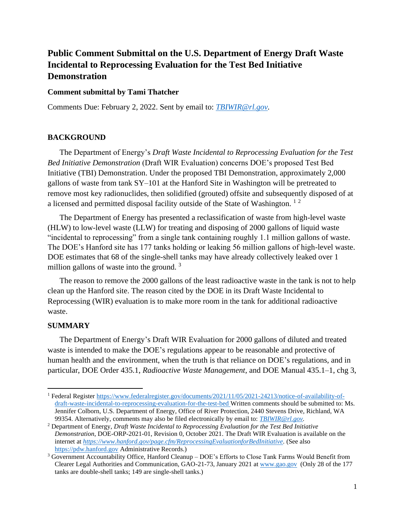# **Public Comment Submittal on the U.S. Department of Energy Draft Waste Incidental to Reprocessing Evaluation for the Test Bed Initiative Demonstration**

### **Comment submittal by Tami Thatcher**

Comments Due: February 2, 2022. Sent by email to: *[TBIWIR@rl.gov.](mailto:TBIWIR@rl.gov)*

### **BACKGROUND**

The Department of Energy's *Draft Waste Incidental to Reprocessing Evaluation for the Test Bed Initiative Demonstration* (Draft WIR Evaluation) concerns DOE's proposed Test Bed Initiative (TBI) Demonstration. Under the proposed TBI Demonstration, approximately 2,000 gallons of waste from tank SY–101 at the Hanford Site in Washington will be pretreated to remove most key radionuclides, then solidified (grouted) offsite and subsequently disposed of at a licensed and permitted disposal facility outside of the State of Washington. <sup>1</sup> <sup>2</sup>

The Department of Energy has presented a reclassification of waste from high-level waste (HLW) to low-level waste (LLW) for treating and disposing of 2000 gallons of liquid waste "incidental to reprocessing" from a single tank containing roughly 1.1 million gallons of waste. The DOE's Hanford site has 177 tanks holding or leaking 56 million gallons of high-level waste. DOE estimates that 68 of the single-shell tanks may have already collectively leaked over 1 million gallons of waste into the ground.  $3\overline{ }$ 

The reason to remove the 2000 gallons of the least radioactive waste in the tank is not to help clean up the Hanford site. The reason cited by the DOE in its Draft Waste Incidental to Reprocessing (WIR) evaluation is to make more room in the tank for additional radioactive waste.

### **SUMMARY**

The Department of Energy's Draft WIR Evaluation for 2000 gallons of diluted and treated waste is intended to make the DOE's regulations appear to be reasonable and protective of human health and the environment, when the truth is that reliance on DOE's regulations, and in particular, DOE Order 435.1, *Radioactive Waste Management,* and DOE Manual 435.1–1, chg 3,

<sup>1</sup> Federal Register [https://www.federalregister.gov/documents/2021/11/05/2021-24213/notice-of-availability-of](https://www.federalregister.gov/documents/2021/11/05/2021-24213/notice-of-availability-of-draft-waste-incidental-to-reprocessing-evaluation-for-the-test-bed)[draft-waste-incidental-to-reprocessing-evaluation-for-the-test-bed](https://www.federalregister.gov/documents/2021/11/05/2021-24213/notice-of-availability-of-draft-waste-incidental-to-reprocessing-evaluation-for-the-test-bed) Written comments should be submitted to: Ms. Jennifer Colborn, U.S. Department of Energy, Office of River Protection, 2440 Stevens Drive, Richland, WA 99354. Alternatively, comments may also be filed electronically by email to: *[TBIWIR@rl.gov.](mailto:TBIWIR@rl.gov)*

<sup>2</sup> Department of Energy, *Draft Waste Incidental to Reprocessing Evaluation for the Test Bed Initiative Demonstration*, DOE-ORP-2021-01, Revision 0, October 2021. The Draft WIR Evaluation is available on the internet at *[https://www.hanford.gov/page.cfm/ReprocessingEvaluationforBedInitiative.](https://www.hanford.gov/page.cfm/ReprocessingEvaluationforBedInitiative)* (See also [https://pdw.hanford.gov](https://pdw.hanford.gov/) Administrative Records.)

<sup>3</sup> Government Accountability Office, Hanford Cleanup – DOE's Efforts to Close Tank Farms Would Benefit from Clearer Legal Authorities and Communication, GAO-21-73, January 2021 at [www.gao.gov](http://www.gao.gov/) (Only 28 of the 177 tanks are double-shell tanks; 149 are single-shell tanks.)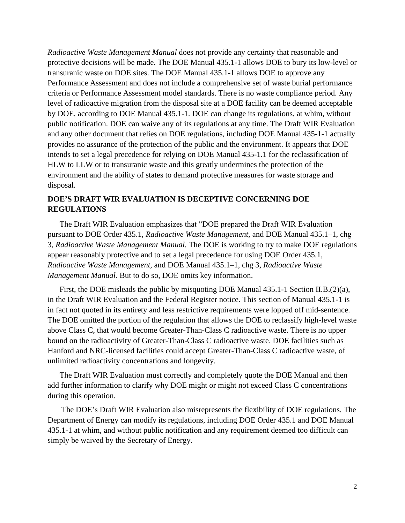*Radioactive Waste Management Manual* does not provide any certainty that reasonable and protective decisions will be made. The DOE Manual 435.1-1 allows DOE to bury its low-level or transuranic waste on DOE sites. The DOE Manual 435.1-1 allows DOE to approve any Performance Assessment and does not include a comprehensive set of waste burial performance criteria or Performance Assessment model standards. There is no waste compliance period. Any level of radioactive migration from the disposal site at a DOE facility can be deemed acceptable by DOE, according to DOE Manual 435.1-1. DOE can change its regulations, at whim, without public notification. DOE can waive any of its regulations at any time. The Draft WIR Evaluation and any other document that relies on DOE regulations, including DOE Manual 435-1-1 actually provides no assurance of the protection of the public and the environment. It appears that DOE intends to set a legal precedence for relying on DOE Manual 435-1.1 for the reclassification of HLW to LLW or to transuranic waste and this greatly undermines the protection of the environment and the ability of states to demand protective measures for waste storage and disposal.

### **DOE'S DRAFT WIR EVALUATION IS DECEPTIVE CONCERNING DOE REGULATIONS**

The Draft WIR Evaluation emphasizes that "DOE prepared the Draft WIR Evaluation pursuant to DOE Order 435.1, *Radioactive Waste Management,* and DOE Manual 435.1–1, chg 3, *Radioactive Waste Management Manual.* The DOE is working to try to make DOE regulations appear reasonably protective and to set a legal precedence for using DOE Order 435.1, *Radioactive Waste Management,* and DOE Manual 435.1–1, chg 3, *Radioactive Waste Management Manual.* But to do so, DOE omits key information.

First, the DOE misleads the public by misquoting DOE Manual 435.1-1 Section II.B.(2)(a), in the Draft WIR Evaluation and the Federal Register notice. This section of Manual 435.1-1 is in fact not quoted in its entirety and less restrictive requirements were lopped off mid-sentence. The DOE omitted the portion of the regulation that allows the DOE to reclassify high-level waste above Class C, that would become Greater-Than-Class C radioactive waste. There is no upper bound on the radioactivity of Greater-Than-Class C radioactive waste. DOE facilities such as Hanford and NRC-licensed facilities could accept Greater-Than-Class C radioactive waste, of unlimited radioactivity concentrations and longevity.

The Draft WIR Evaluation must correctly and completely quote the DOE Manual and then add further information to clarify why DOE might or might not exceed Class C concentrations during this operation.

The DOE's Draft WIR Evaluation also misrepresents the flexibility of DOE regulations. The Department of Energy can modify its regulations, including DOE Order 435.1 and DOE Manual 435.1-1 at whim, and without public notification and any requirement deemed too difficult can simply be waived by the Secretary of Energy.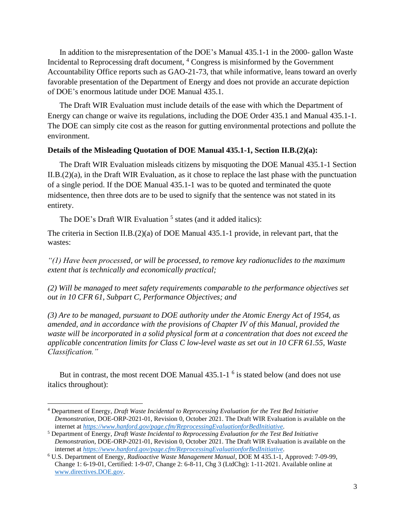In addition to the misrepresentation of the DOE's Manual 435.1-1 in the 2000- gallon Waste Incidental to Reprocessing draft document, <sup>4</sup> Congress is misinformed by the Government Accountability Office reports such as GAO-21-73, that while informative, leans toward an overly favorable presentation of the Department of Energy and does not provide an accurate depiction of DOE's enormous latitude under DOE Manual 435.1.

The Draft WIR Evaluation must include details of the ease with which the Department of Energy can change or waive its regulations, including the DOE Order 435.1 and Manual 435.1-1. The DOE can simply cite cost as the reason for gutting environmental protections and pollute the environment.

#### **Details of the Misleading Quotation of DOE Manual 435.1-1, Section II.B.(2)(a):**

The Draft WIR Evaluation misleads citizens by misquoting the DOE Manual 435.1-1 Section II.B.(2)(a), in the Draft WIR Evaluation, as it chose to replace the last phase with the punctuation of a single period. If the DOE Manual 435.1-1 was to be quoted and terminated the quote midsentence, then three dots are to be used to signify that the sentence was not stated in its entirety.

The DOE's Draft WIR Evaluation<sup>5</sup> states (and it added italics):

The criteria in Section II.B.(2)(a) of DOE Manual 435.1-1 provide, in relevant part, that the wastes:

*"(1) Have been processed, or will be processed, to remove key radionuclides to the maximum extent that is technically and economically practical;*

*(2) Will be managed to meet safety requirements comparable to the performance objectives set out in 10 CFR 61, Subpart C, Performance Objectives; and*

*(3) Are to be managed, pursuant to DOE authority under the Atomic Energy Act of 1954, as amended, and in accordance with the provisions of Chapter IV of this Manual, provided the waste will be incorporated in a solid physical form at a concentration that does not exceed the applicable concentration limits for Class C low-level waste as set out in 10 CFR 61.55, Waste Classification."*

But in contrast, the most recent DOE Manual  $435.1 - 1$ <sup>6</sup> is stated below (and does not use italics throughout):

<sup>4</sup> Department of Energy, *Draft Waste Incidental to Reprocessing Evaluation for the Test Bed Initiative Demonstration*, DOE-ORP-2021-01, Revision 0, October 2021. The Draft WIR Evaluation is available on the internet at *[https://www.hanford.gov/page.cfm/ReprocessingEvaluationforBedInitiative.](https://www.hanford.gov/page.cfm/ReprocessingEvaluationforBedInitiative)*

<sup>5</sup> Department of Energy, *Draft Waste Incidental to Reprocessing Evaluation for the Test Bed Initiative Demonstration*, DOE-ORP-2021-01, Revision 0, October 2021. The Draft WIR Evaluation is available on the internet at *[https://www.hanford.gov/page.cfm/ReprocessingEvaluationforBedInitiative.](https://www.hanford.gov/page.cfm/ReprocessingEvaluationforBedInitiative)*

<sup>6</sup> U.S. Department of Energy, *Radioactive Waste Management Manual*, DOE M 435.1-1, Approved: 7-09-99, Change 1: 6-19-01, Certified: 1-9-07, Change 2: 6-8-11, Chg 3 (LtdChg): 1-11-2021. Available online at [www.directives.DOE.gov.](http://www.directives.doe.gov/)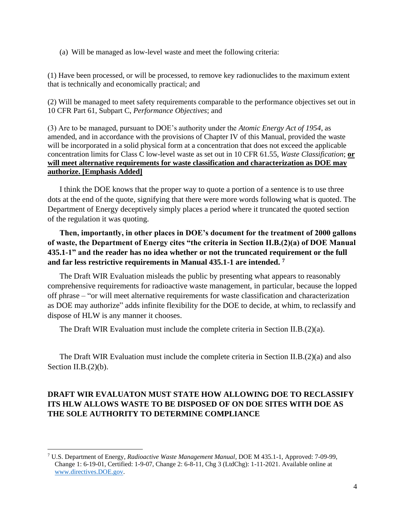(a) Will be managed as low-level waste and meet the following criteria:

(1) Have been processed, or will be processed, to remove key radionuclides to the maximum extent that is technically and economically practical; and

(2) Will be managed to meet safety requirements comparable to the performance objectives set out in 10 CFR Part 61, Subpart C, *Performance Objectives*; and

(3) Are to be managed, pursuant to DOE's authority under the *Atomic Energy Act of 1954*, as amended, and in accordance with the provisions of Chapter IV of this Manual, provided the waste will be incorporated in a solid physical form at a concentration that does not exceed the applicable concentration limits for Class C low-level waste as set out in 10 CFR 61.55, *Waste Classification*; **or will meet alternative requirements for waste classification and characterization as DOE may authorize. [Emphasis Added]**

I think the DOE knows that the proper way to quote a portion of a sentence is to use three dots at the end of the quote, signifying that there were more words following what is quoted. The Department of Energy deceptively simply places a period where it truncated the quoted section of the regulation it was quoting.

**Then, importantly, in other places in DOE's document for the treatment of 2000 gallons of waste, the Department of Energy cites "the criteria in Section II.B.(2)(a) of DOE Manual 435.1-1" and the reader has no idea whether or not the truncated requirement or the full and far less restrictive requirements in Manual 435.1-1 are intended. <sup>7</sup>**

The Draft WIR Evaluation misleads the public by presenting what appears to reasonably comprehensive requirements for radioactive waste management, in particular, because the lopped off phrase – "or will meet alternative requirements for waste classification and characterization as DOE may authorize" adds infinite flexibility for the DOE to decide, at whim, to reclassify and dispose of HLW is any manner it chooses.

The Draft WIR Evaluation must include the complete criteria in Section II.B. $(2)(a)$ .

The Draft WIR Evaluation must include the complete criteria in Section II.B.(2)(a) and also Section II.B.(2)(b).

# **DRAFT WIR EVALUATON MUST STATE HOW ALLOWING DOE TO RECLASSIFY ITS HLW ALLOWS WASTE TO BE DISPOSED OF ON DOE SITES WITH DOE AS THE SOLE AUTHORITY TO DETERMINE COMPLIANCE**

<sup>7</sup> U.S. Department of Energy, *Radioactive Waste Management Manual*, DOE M 435.1-1, Approved: 7-09-99, Change 1: 6-19-01, Certified: 1-9-07, Change 2: 6-8-11, Chg 3 (LtdChg): 1-11-2021. Available online at [www.directives.DOE.gov.](http://www.directives.doe.gov/)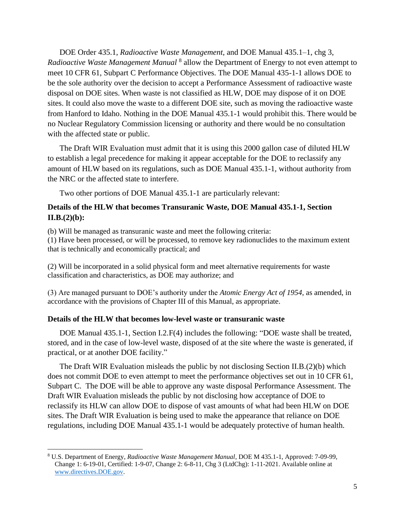DOE Order 435.1, *Radioactive Waste Management,* and DOE Manual 435.1–1, chg 3, Radioactive Waste Management Manual<sup>8</sup> allow the Department of Energy to not even attempt to meet 10 CFR 61, Subpart C Performance Objectives. The DOE Manual 435-1-1 allows DOE to be the sole authority over the decision to accept a Performance Assessment of radioactive waste disposal on DOE sites. When waste is not classified as HLW, DOE may dispose of it on DOE sites. It could also move the waste to a different DOE site, such as moving the radioactive waste from Hanford to Idaho. Nothing in the DOE Manual 435.1-1 would prohibit this. There would be no Nuclear Regulatory Commission licensing or authority and there would be no consultation with the affected state or public.

The Draft WIR Evaluation must admit that it is using this 2000 gallon case of diluted HLW to establish a legal precedence for making it appear acceptable for the DOE to reclassify any amount of HLW based on its regulations, such as DOE Manual 435.1-1, without authority from the NRC or the affected state to interfere.

Two other portions of DOE Manual 435.1-1 are particularly relevant:

### **Details of the HLW that becomes Transuranic Waste, DOE Manual 435.1-1, Section II.B.(2)(b):**

(b) Will be managed as transuranic waste and meet the following criteria:

(1) Have been processed, or will be processed, to remove key radionuclides to the maximum extent that is technically and economically practical; and

(2) Will be incorporated in a solid physical form and meet alternative requirements for waste classification and characteristics, as DOE may authorize; and

(3) Are managed pursuant to DOE's authority under the *Atomic Energy Act of 1954*, as amended, in accordance with the provisions of Chapter III of this Manual, as appropriate.

### **Details of the HLW that becomes low-level waste or transuranic waste**

DOE Manual 435.1-1, Section I.2.F(4) includes the following: "DOE waste shall be treated, stored, and in the case of low-level waste, disposed of at the site where the waste is generated, if practical, or at another DOE facility."

The Draft WIR Evaluation misleads the public by not disclosing Section II.B.(2)(b) which does not commit DOE to even attempt to meet the performance objectives set out in 10 CFR 61, Subpart C. The DOE will be able to approve any waste disposal Performance Assessment. The Draft WIR Evaluation misleads the public by not disclosing how acceptance of DOE to reclassify its HLW can allow DOE to dispose of vast amounts of what had been HLW on DOE sites. The Draft WIR Evaluation is being used to make the appearance that reliance on DOE regulations, including DOE Manual 435.1-1 would be adequately protective of human health.

<sup>8</sup> U.S. Department of Energy, *Radioactive Waste Management Manual*, DOE M 435.1-1, Approved: 7-09-99, Change 1: 6-19-01, Certified: 1-9-07, Change 2: 6-8-11, Chg 3 (LtdChg): 1-11-2021. Available online at [www.directives.DOE.gov.](http://www.directives.doe.gov/)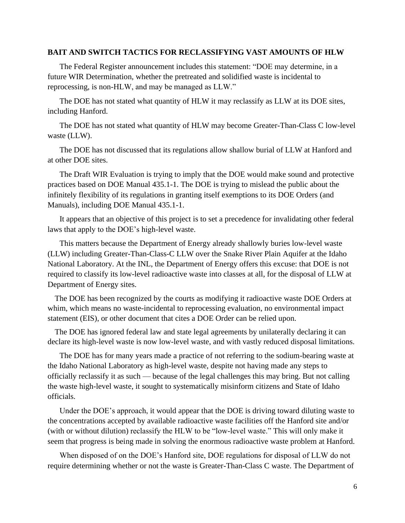#### **BAIT AND SWITCH TACTICS FOR RECLASSIFYING VAST AMOUNTS OF HLW**

The Federal Register announcement includes this statement: "DOE may determine, in a future WIR Determination, whether the pretreated and solidified waste is incidental to reprocessing, is non-HLW, and may be managed as LLW."

The DOE has not stated what quantity of HLW it may reclassify as LLW at its DOE sites, including Hanford.

The DOE has not stated what quantity of HLW may become Greater-Than-Class C low-level waste (LLW).

The DOE has not discussed that its regulations allow shallow burial of LLW at Hanford and at other DOE sites.

The Draft WIR Evaluation is trying to imply that the DOE would make sound and protective practices based on DOE Manual 435.1-1. The DOE is trying to mislead the public about the infinitely flexibility of its regulations in granting itself exemptions to its DOE Orders (and Manuals), including DOE Manual 435.1-1.

It appears that an objective of this project is to set a precedence for invalidating other federal laws that apply to the DOE's high-level waste.

This matters because the Department of Energy already shallowly buries low-level waste (LLW) including Greater-Than-Class-C LLW over the Snake River Plain Aquifer at the Idaho National Laboratory. At the INL, the Department of Energy offers this excuse: that DOE is not required to classify its low-level radioactive waste into classes at all, for the disposal of LLW at Department of Energy sites.

The DOE has been recognized by the courts as modifying it radioactive waste DOE Orders at whim, which means no waste-incidental to reprocessing evaluation, no environmental impact statement (EIS), or other document that cites a DOE Order can be relied upon.

The DOE has ignored federal law and state legal agreements by unilaterally declaring it can declare its high-level waste is now low-level waste, and with vastly reduced disposal limitations.

The DOE has for many years made a practice of not referring to the sodium-bearing waste at the Idaho National Laboratory as high-level waste, despite not having made any steps to officially reclassify it as such — because of the legal challenges this may bring. But not calling the waste high-level waste, it sought to systematically misinform citizens and State of Idaho officials.

Under the DOE's approach, it would appear that the DOE is driving toward diluting waste to the concentrations accepted by available radioactive waste facilities off the Hanford site and/or (with or without dilution) reclassify the HLW to be "low-level waste." This will only make it seem that progress is being made in solving the enormous radioactive waste problem at Hanford.

When disposed of on the DOE's Hanford site, DOE regulations for disposal of LLW do not require determining whether or not the waste is Greater-Than-Class C waste. The Department of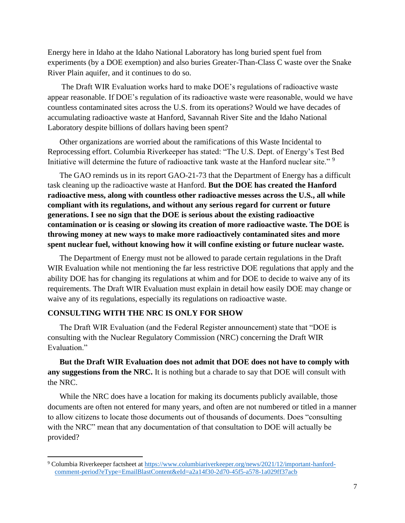Energy here in Idaho at the Idaho National Laboratory has long buried spent fuel from experiments (by a DOE exemption) and also buries Greater-Than-Class C waste over the Snake River Plain aquifer, and it continues to do so.

The Draft WIR Evaluation works hard to make DOE's regulations of radioactive waste appear reasonable. If DOE's regulation of its radioactive waste were reasonable, would we have countless contaminated sites across the U.S. from its operations? Would we have decades of accumulating radioactive waste at Hanford, Savannah River Site and the Idaho National Laboratory despite billions of dollars having been spent?

Other organizations are worried about the ramifications of this Waste Incidental to Reprocessing effort. Columbia Riverkeeper has stated: "The U.S. Dept. of Energy's Test Bed Initiative will determine the future of radioactive tank waste at the Hanford nuclear site." <sup>9</sup>

The GAO reminds us in its report GAO-21-73 that the Department of Energy has a difficult task cleaning up the radioactive waste at Hanford. **But the DOE has created the Hanford radioactive mess, along with countless other radioactive messes across the U.S., all while compliant with its regulations, and without any serious regard for current or future generations. I see no sign that the DOE is serious about the existing radioactive contamination or is ceasing or slowing its creation of more radioactive waste. The DOE is throwing money at new ways to make more radioactively contaminated sites and more spent nuclear fuel, without knowing how it will confine existing or future nuclear waste.**

The Department of Energy must not be allowed to parade certain regulations in the Draft WIR Evaluation while not mentioning the far less restrictive DOE regulations that apply and the ability DOE has for changing its regulations at whim and for DOE to decide to waive any of its requirements. The Draft WIR Evaluation must explain in detail how easily DOE may change or waive any of its regulations, especially its regulations on radioactive waste.

### **CONSULTING WITH THE NRC IS ONLY FOR SHOW**

The Draft WIR Evaluation (and the Federal Register announcement) state that "DOE is consulting with the Nuclear Regulatory Commission (NRC) concerning the Draft WIR Evaluation<sup>"</sup>

**But the Draft WIR Evaluation does not admit that DOE does not have to comply with any suggestions from the NRC.** It is nothing but a charade to say that DOE will consult with the NRC.

While the NRC does have a location for making its documents publicly available, those documents are often not entered for many years, and often are not numbered or titled in a manner to allow citizens to locate those documents out of thousands of documents. Does "consulting with the NRC" mean that any documentation of that consultation to DOE will actually be provided?

<sup>9</sup> Columbia Riverkeeper factsheet at [https://www.columbiariverkeeper.org/news/2021/12/important-hanford](https://www.columbiariverkeeper.org/news/2021/12/important-hanford-comment-period?eType=EmailBlastContent&eId=a2a14f30-2d70-45f5-a578-1a029ff37acb)[comment-period?eType=EmailBlastContent&eId=a2a14f30-2d70-45f5-a578-1a029ff37acb](https://www.columbiariverkeeper.org/news/2021/12/important-hanford-comment-period?eType=EmailBlastContent&eId=a2a14f30-2d70-45f5-a578-1a029ff37acb)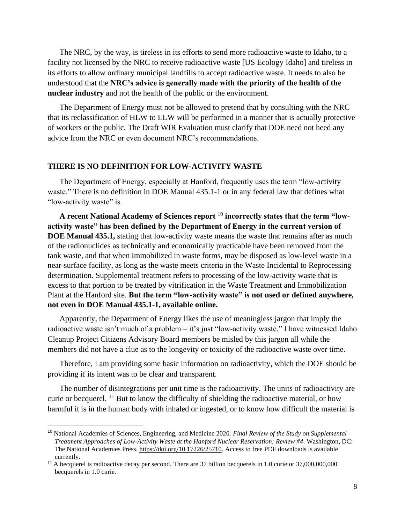The NRC, by the way, is tireless in its efforts to send more radioactive waste to Idaho, to a facility not licensed by the NRC to receive radioactive waste [US Ecology Idaho] and tireless in its efforts to allow ordinary municipal landfills to accept radioactive waste. It needs to also be understood that the **NRC's advice is generally made with the priority of the health of the nuclear industry** and not the health of the public or the environment.

The Department of Energy must not be allowed to pretend that by consulting with the NRC that its reclassification of HLW to LLW will be performed in a manner that is actually protective of workers or the public. The Draft WIR Evaluation must clarify that DOE need not heed any advice from the NRC or even document NRC's recommendations.

#### **THERE IS NO DEFINITION FOR LOW-ACTIVITY WASTE**

The Department of Energy, especially at Hanford, frequently uses the term "low-activity waste." There is no definition in DOE Manual 435.1-1 or in any federal law that defines what "low-activity waste" is.

**A recent National Academy of Sciences report** <sup>10</sup> **incorrectly states that the term "lowactivity waste" has been defined by the Department of Energy in the current version of DOE Manual 435.1,** stating that low-activity waste means the waste that remains after as much of the radionuclides as technically and economically practicable have been removed from the tank waste, and that when immobilized in waste forms, may be disposed as low-level waste in a near-surface facility, as long as the waste meets criteria in the Waste Incidental to Reprocessing determination. Supplemental treatment refers to processing of the low-activity waste that is excess to that portion to be treated by vitrification in the Waste Treatment and Immobilization Plant at the Hanford site. **But the term "low-activity waste" is not used or defined anywhere, not even in DOE Manual 435.1-1, available online.**

Apparently, the Department of Energy likes the use of meaningless jargon that imply the radioactive waste isn't much of a problem – it's just "low-activity waste." I have witnessed Idaho Cleanup Project Citizens Advisory Board members be misled by this jargon all while the members did not have a clue as to the longevity or toxicity of the radioactive waste over time.

Therefore, I am providing some basic information on radioactivity, which the DOE should be providing if its intent was to be clear and transparent.

The number of disintegrations per unit time is the radioactivity. The units of radioactivity are curie or becquerel. <sup>11</sup> But to know the difficulty of shielding the radioactive material, or how harmful it is in the human body with inhaled or ingested, or to know how difficult the material is

<sup>10</sup> National Academies of Sciences, Engineering, and Medicine 2020. *Final Review of the Study on Supplemental Treatment Approaches of Low-Activity Waste at the Hanford Nuclear Reservation: Review #4*. Washington, DC: The National Academies Press. [https://doi.org/10.17226/25710.](https://doi.org/10.17226/25710) Access to free PDF downloads is available currently.

<sup>&</sup>lt;sup>11</sup> A becquerel is radioactive decay per second. There are 37 billion becquerels in 1.0 curie or 37,000,000,000 becquerels in 1.0 curie.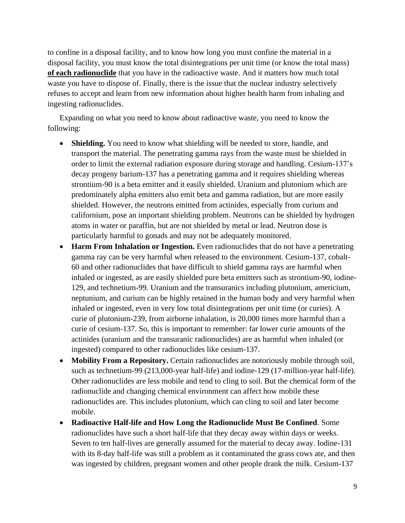to confine in a disposal facility, and to know how long you must confine the material in a disposal facility, you must know the total disintegrations per unit time (or know the total mass) **of each radionuclide** that you have in the radioactive waste. And it matters how much total waste you have to dispose of. Finally, there is the issue that the nuclear industry selectively refuses to accept and learn from new information about higher health harm from inhaling and ingesting radionuclides.

Expanding on what you need to know about radioactive waste, you need to know the following:

- **Shielding.** You need to know what shielding will be needed to store, handle, and transport the material. The penetrating gamma rays from the waste must be shielded in order to limit the external radiation exposure during storage and handling. Cesium-137's decay progeny barium-137 has a penetrating gamma and it requires shielding whereas strontium-90 is a beta emitter and it easily shielded. Uranium and plutonium which are predominately alpha emitters also emit beta and gamma radiation, but are more easily shielded. However, the neutrons emitted from actinides, especially from curium and californium, pose an important shielding problem. Neutrons can be shielded by hydrogen atoms in water or paraffin, but are not shielded by metal or lead. Neutron dose is particularly harmful to gonads and may not be adequately monitored.
- **Harm From Inhalation or Ingestion.** Even radionuclides that do not have a penetrating gamma ray can be very harmful when released to the environment. Cesium-137, cobalt-60 and other radionuclides that have difficult to shield gamma rays are harmful when inhaled or ingested, as are easily shielded pure beta emitters such as strontium-90, iodine-129, and technetium-99. Uranium and the transuranics including plutonium, americium, neptunium, and curium can be highly retained in the human body and very harmful when inhaled or ingested, even in very low total disintegrations per unit time (or curies). A curie of plutonium-239, from airborne inhalation, is 20,000 times more harmful than a curie of cesium-137. So, this is important to remember: far lower curie amounts of the actinides (uranium and the transuranic radionuclides) are as harmful when inhaled (or ingested) compared to other radionuclides like cesium-137.
- **Mobility From a Repository.** Certain radionuclides are notoriously mobile through soil, such as technetium-99 (213,000-year half-life) and iodine-129 (17-million-year half-life). Other radionuclides are less mobile and tend to cling to soil. But the chemical form of the radionuclide and changing chemical environment can affect how mobile these radionuclides are. This includes plutonium, which can cling to soil and later become mobile.
- **Radioactive Half-life and How Long the Radionuclide Must Be Confined**. Some radionuclides have such a short half-life that they decay away within days or weeks. Seven to ten half-lives are generally assumed for the material to decay away. Iodine-131 with its 8-day half-life was still a problem as it contaminated the grass cows ate, and then was ingested by children, pregnant women and other people drank the milk. Cesium-137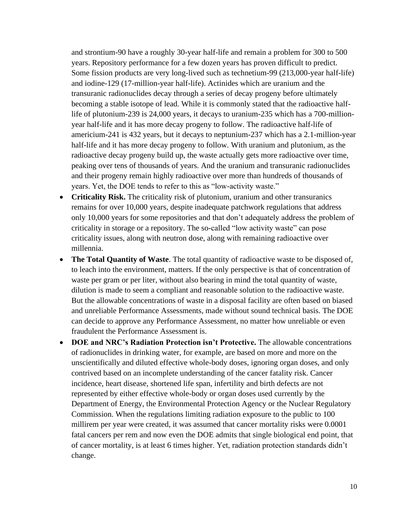and strontium-90 have a roughly 30-year half-life and remain a problem for 300 to 500 years. Repository performance for a few dozen years has proven difficult to predict. Some fission products are very long-lived such as technetium-99 (213,000-year half-life) and iodine-129 (17-million-year half-life). Actinides which are uranium and the transuranic radionuclides decay through a series of decay progeny before ultimately becoming a stable isotope of lead. While it is commonly stated that the radioactive halflife of plutonium-239 is 24,000 years, it decays to uranium-235 which has a 700-millionyear half-life and it has more decay progeny to follow. The radioactive half-life of americium-241 is 432 years, but it decays to neptunium-237 which has a 2.1-million-year half-life and it has more decay progeny to follow. With uranium and plutonium, as the radioactive decay progeny build up, the waste actually gets more radioactive over time, peaking over tens of thousands of years. And the uranium and transuranic radionuclides and their progeny remain highly radioactive over more than hundreds of thousands of years. Yet, the DOE tends to refer to this as "low-activity waste."

- **Criticality Risk.** The criticality risk of plutonium, uranium and other transuranics remains for over 10,000 years, despite inadequate patchwork regulations that address only 10,000 years for some repositories and that don't adequately address the problem of criticality in storage or a repository. The so-called "low activity waste" can pose criticality issues, along with neutron dose, along with remaining radioactive over millennia.
- **The Total Quantity of Waste**. The total quantity of radioactive waste to be disposed of, to leach into the environment, matters. If the only perspective is that of concentration of waste per gram or per liter, without also bearing in mind the total quantity of waste, dilution is made to seem a compliant and reasonable solution to the radioactive waste. But the allowable concentrations of waste in a disposal facility are often based on biased and unreliable Performance Assessments, made without sound technical basis. The DOE can decide to approve any Performance Assessment, no matter how unreliable or even fraudulent the Performance Assessment is.
- **DOE and NRC's Radiation Protection isn't Protective.** The allowable concentrations of radionuclides in drinking water, for example, are based on more and more on the unscientifically and diluted effective whole-body doses, ignoring organ doses, and only contrived based on an incomplete understanding of the cancer fatality risk. Cancer incidence, heart disease, shortened life span, infertility and birth defects are not represented by either effective whole-body or organ doses used currently by the Department of Energy, the Environmental Protection Agency or the Nuclear Regulatory Commission. When the regulations limiting radiation exposure to the public to 100 millirem per year were created, it was assumed that cancer mortality risks were 0.0001 fatal cancers per rem and now even the DOE admits that single biological end point, that of cancer mortality, is at least 6 times higher. Yet, radiation protection standards didn't change.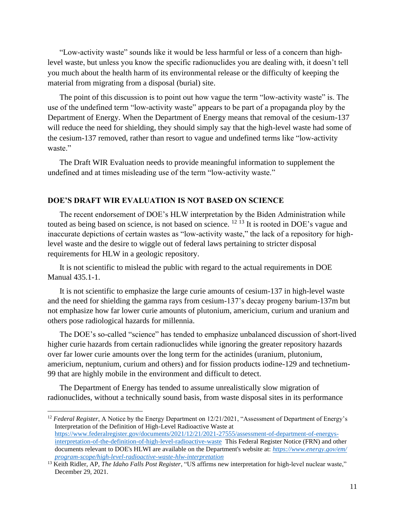"Low-activity waste" sounds like it would be less harmful or less of a concern than highlevel waste, but unless you know the specific radionuclides you are dealing with, it doesn't tell you much about the health harm of its environmental release or the difficulty of keeping the material from migrating from a disposal (burial) site.

The point of this discussion is to point out how vague the term "low-activity waste" is. The use of the undefined term "low-activity waste" appears to be part of a propaganda ploy by the Department of Energy. When the Department of Energy means that removal of the cesium-137 will reduce the need for shielding, they should simply say that the high-level waste had some of the cesium-137 removed, rather than resort to vague and undefined terms like "low-activity waste."

The Draft WIR Evaluation needs to provide meaningful information to supplement the undefined and at times misleading use of the term "low-activity waste."

### **DOE'S DRAFT WIR EVALUATION IS NOT BASED ON SCIENCE**

The recent endorsement of DOE's HLW interpretation by the Biden Administration while touted as being based on science, is not based on science. <sup>12 13</sup> It is rooted in DOE's vague and inaccurate depictions of certain wastes as "low-activity waste," the lack of a repository for highlevel waste and the desire to wiggle out of federal laws pertaining to stricter disposal requirements for HLW in a geologic repository.

It is not scientific to mislead the public with regard to the actual requirements in DOE Manual 435.1-1.

It is not scientific to emphasize the large curie amounts of cesium-137 in high-level waste and the need for shielding the gamma rays from cesium-137's decay progeny barium-137m but not emphasize how far lower curie amounts of plutonium, americium, curium and uranium and others pose radiological hazards for millennia.

The DOE's so-called "science" has tended to emphasize unbalanced discussion of short-lived higher curie hazards from certain radionuclides while ignoring the greater repository hazards over far lower curie amounts over the long term for the actinides (uranium, plutonium, americium, neptunium, curium and others) and for fission products iodine-129 and technetium-99 that are highly mobile in the environment and difficult to detect.

The Department of Energy has tended to assume unrealistically slow migration of radionuclides, without a technically sound basis, from waste disposal sites in its performance

<sup>12</sup> *Federal Register*, A Notice by the Energy Department on 12/21/2021, "Assessment of Department of Energy's Interpretation of the Definition of High-Level Radioactive Waste at [https://www.federalregister.gov/documents/2021/12/21/2021-27555/assessment-of-department-of-energys](https://www.federalregister.gov/documents/2021/12/21/2021-27555/assessment-of-department-of-energys-interpretation-of-the-definition-of-high-level-radioactive-waste)[interpretation-of-the-definition-of-high-level-radioactive-waste](https://www.federalregister.gov/documents/2021/12/21/2021-27555/assessment-of-department-of-energys-interpretation-of-the-definition-of-high-level-radioactive-waste) This Federal Register Notice (FRN) and other documents relevant to DOE's HLWI are available on the Department's website at: *[https://www.energy.gov/em/](https://www.energy.gov/em/program-scope/high-level-radioactive-waste-hlw-interpretation) [program-scope/high-level-radioactive-waste-hlw-interpretation](https://www.energy.gov/em/program-scope/high-level-radioactive-waste-hlw-interpretation)*

<sup>13</sup> Keith Ridler, AP, *The Idaho Falls Post Register*, "US affirms new interpretation for high-level nuclear waste," December 29, 2021.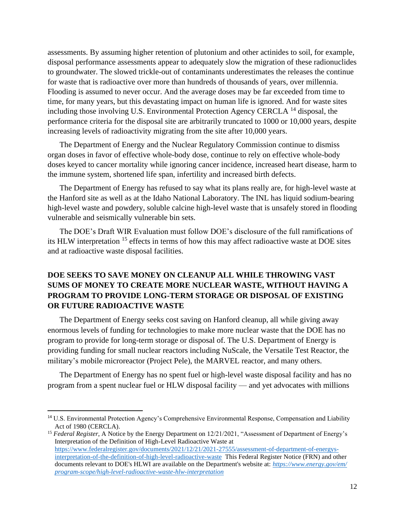assessments. By assuming higher retention of plutonium and other actinides to soil, for example, disposal performance assessments appear to adequately slow the migration of these radionuclides to groundwater. The slowed trickle-out of contaminants underestimates the releases the continue for waste that is radioactive over more than hundreds of thousands of years, over millennia. Flooding is assumed to never occur. And the average doses may be far exceeded from time to time, for many years, but this devastating impact on human life is ignored. And for waste sites including those involving U.S. Environmental Protection Agency CERCLA <sup>14</sup> disposal, the performance criteria for the disposal site are arbitrarily truncated to 1000 or 10,000 years, despite increasing levels of radioactivity migrating from the site after 10,000 years.

The Department of Energy and the Nuclear Regulatory Commission continue to dismiss organ doses in favor of effective whole-body dose, continue to rely on effective whole-body doses keyed to cancer mortality while ignoring cancer incidence, increased heart disease, harm to the immune system, shortened life span, infertility and increased birth defects.

The Department of Energy has refused to say what its plans really are, for high-level waste at the Hanford site as well as at the Idaho National Laboratory. The INL has liquid sodium-bearing high-level waste and powdery, soluble calcine high-level waste that is unsafely stored in flooding vulnerable and seismically vulnerable bin sets.

The DOE's Draft WIR Evaluation must follow DOE's disclosure of the full ramifications of its HLW interpretation <sup>15</sup> effects in terms of how this may affect radioactive waste at DOE sites and at radioactive waste disposal facilities.

# **DOE SEEKS TO SAVE MONEY ON CLEANUP ALL WHILE THROWING VAST SUMS OF MONEY TO CREATE MORE NUCLEAR WASTE, WITHOUT HAVING A PROGRAM TO PROVIDE LONG-TERM STORAGE OR DISPOSAL OF EXISTING OR FUTURE RADIOACTIVE WASTE**

The Department of Energy seeks cost saving on Hanford cleanup, all while giving away enormous levels of funding for technologies to make more nuclear waste that the DOE has no program to provide for long-term storage or disposal of. The U.S. Department of Energy is providing funding for small nuclear reactors including NuScale, the Versatile Test Reactor, the military's mobile microreactor (Project Pele), the MARVEL reactor, and many others.

The Department of Energy has no spent fuel or high-level waste disposal facility and has no program from a spent nuclear fuel or HLW disposal facility — and yet advocates with millions

<sup>15</sup> *Federal Register*, A Notice by the Energy Department on 12/21/2021, "Assessment of Department of Energy's Interpretation of the Definition of High-Level Radioactive Waste at [https://www.federalregister.gov/documents/2021/12/21/2021-27555/assessment-of-department-of-energys](https://www.federalregister.gov/documents/2021/12/21/2021-27555/assessment-of-department-of-energys-interpretation-of-the-definition-of-high-level-radioactive-waste)[interpretation-of-the-definition-of-high-level-radioactive-waste](https://www.federalregister.gov/documents/2021/12/21/2021-27555/assessment-of-department-of-energys-interpretation-of-the-definition-of-high-level-radioactive-waste) This Federal Register Notice (FRN) and other documents relevant to DOE's HLWI are available on the Department's website at: *[https://www.energy.gov/em/](https://www.energy.gov/em/program-scope/high-level-radioactive-waste-hlw-interpretation) [program-scope/high-level-radioactive-waste-hlw-interpretation](https://www.energy.gov/em/program-scope/high-level-radioactive-waste-hlw-interpretation)*

<sup>&</sup>lt;sup>14</sup> U.S. Environmental Protection Agency's Comprehensive Environmental Response, Compensation and Liability Act of 1980 (CERCLA).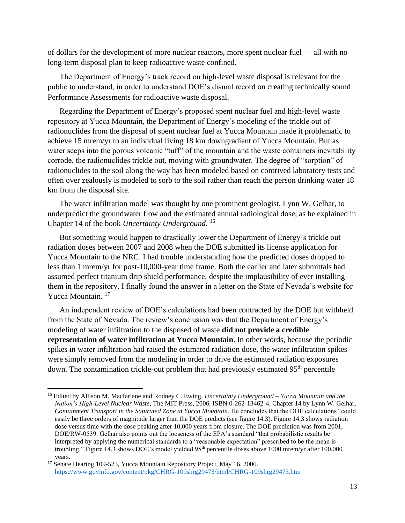of dollars for the development of more nuclear reactors, more spent nuclear fuel — all with no long-term disposal plan to keep radioactive waste confined.

The Department of Energy's track record on high-level waste disposal is relevant for the public to understand, in order to understand DOE's dismal record on creating technically sound Performance Assessments for radioactive waste disposal.

Regarding the Department of Energy's proposed spent nuclear fuel and high-level waste repository at Yucca Mountain, the Department of Energy's modeling of the trickle out of radionuclides from the disposal of spent nuclear fuel at Yucca Mountain made it problematic to achieve 15 mrem/yr to an individual living 18 km downgradient of Yucca Mountain. But as water seeps into the porous volcanic "tuff" of the mountain and the waste containers inevitability corrode, the radionuclides trickle out, moving with groundwater. The degree of "sorption" of radionuclides to the soil along the way has been modeled based on contrived laboratory tests and often over zealously is modeled to sorb to the soil rather than reach the person drinking water 18 km from the disposal site.

The water infiltration model was thought by one prominent geologist, Lynn W. Gelhar, to underpredict the groundwater flow and the estimated annual radiological dose, as he explained in Chapter 14 of the book *Uncertainty Underground*. 16

But something would happen to drastically lower the Department of Energy's trickle out radiation doses between 2007 and 2008 when the DOE submitted its license application for Yucca Mountain to the NRC. I had trouble understanding how the predicted doses dropped to less than 1 mrem/yr for post-10,000-year time frame. Both the earlier and later submittals had assumed perfect titanium drip shield performance, despite the implausibility of ever installing them in the repository. I finally found the answer in a letter on the State of Nevada's website for Yucca Mountain. <sup>17</sup>

An independent review of DOE's calculations had been contracted by the DOE but withheld from the State of Nevada. The review's conclusion was that the Department of Energy's modeling of water infiltration to the disposed of waste **did not provide a credible representation of water infiltration at Yucca Mountain**. In other words, because the periodic spikes in water infiltration had raised the estimated radiation dose, the water infiltration spikes were simply removed from the modeling in order to drive the estimated radiation exposures down. The contamination trickle-out problem that had previously estimated 95<sup>th</sup> percentile

<sup>16</sup> Edited by Allison M. Macfarlane and Rodney C. Ewing, *Uncertainty Underground – Yucca Mountain and the Nation's High-Level Nuclear Waste*, The MIT Press, 2006. ISBN 0-262-13462-4. Chapter 14 by Lynn W. Gelhar, *Containment Transport in the Saturated Zone at Yucca Mountain*. He concludes that the DOE calculations "could easily be three orders of magnitude larger than the DOE predicts (see figure 14.3). Figure 14.3 shows radiation dose versus time with the dose peaking after 10,000 years from closure. The DOE prediction was from 2001, DOE/RW-0539. Gelhar also points out the looseness of the EPA's standard "that probabilistic results be interpreted by applying the numerical standards to a "reasonable expectation" prescribed to be the mean is troubling." Figure 14.3 shows DOE's model yielded 95<sup>th</sup> percentile doses above 1000 mrem/yr after 100,000 years.

<sup>&</sup>lt;sup>17</sup> Senate Hearing 109-523, Yucca Mountain Repository Project, May 16, 2006. <https://www.govinfo.gov/content/pkg/CHRG-109shrg29473/html/CHRG-109shrg29473.htm>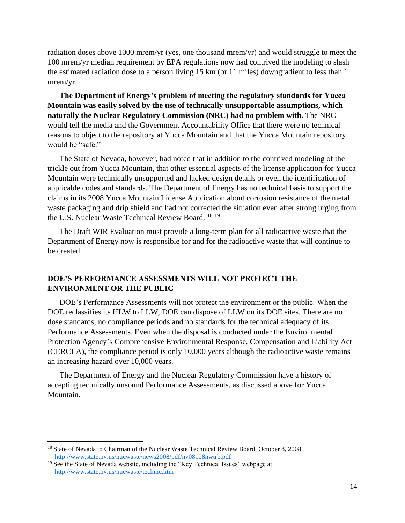radiation doses above 1000 mrem/yr (yes, one thousand mrem/yr) and would struggle to meet the 100 mrem/yr median requirement by EPA regulations now had contrived the modeling to slash the estimated radiation dose to a person living 15 km (or 11 miles) downgradient to less than 1 mrem/yr.

**The Department of Energy's problem of meeting the regulatory standards for Yucca Mountain was easily solved by the use of technically unsupportable assumptions, which naturally the Nuclear Regulatory Commission (NRC) had no problem with.** The NRC would tell the media and the Government Accountability Office that there were no technical reasons to object to the repository at Yucca Mountain and that the Yucca Mountain repository would be "safe."

The State of Nevada, however, had noted that in addition to the contrived modeling of the trickle out from Yucca Mountain, that other essential aspects of the license application for Yucca Mountain were technically unsupported and lacked design details or even the identification of applicable codes and standards. The Department of Energy has no technical basis to support the claims in its 2008 Yucca Mountain License Application about corrosion resistance of the metal waste packaging and drip shield and had not corrected the situation even after strong urging from the U.S. Nuclear Waste Technical Review Board. <sup>18</sup> <sup>19</sup>

The Draft WIR Evaluation must provide a long-term plan for all radioactive waste that the Department of Energy now is responsible for and for the radioactive waste that will continue to be created.

### **DOE'S PERFORMANCE ASSESSMENTS WILL NOT PROTECT THE ENVIRONMENT OR THE PUBLIC**

DOE's Performance Assessments will not protect the environment or the public. When the DOE reclassifies its HLW to LLW, DOE can dispose of LLW on its DOE sites. There are no dose standards, no compliance periods and no standards for the technical adequacy of its Performance Assessments. Even when the disposal is conducted under the Environmental Protection Agency's Comprehensive Environmental Response, Compensation and Liability Act (CERCLA), the compliance period is only 10,000 years although the radioactive waste remains an increasing hazard over 10,000 years.

The Department of Energy and the Nuclear Regulatory Commission have a history of accepting technically unsound Performance Assessments, as discussed above for Yucca Mountain.

<sup>&</sup>lt;sup>18</sup> State of Nevada to Chairman of the Nuclear Waste Technical Review Board, October 8, 2008. <http://www.state.nv.us/nucwaste/news2008/pdf/nv08108nwtrb.pdf>

<sup>&</sup>lt;sup>19</sup> See the State of Nevada website, including the "Key Technical Issues" webpage at <http://www.state.nv.us/nucwaste/technic.htm>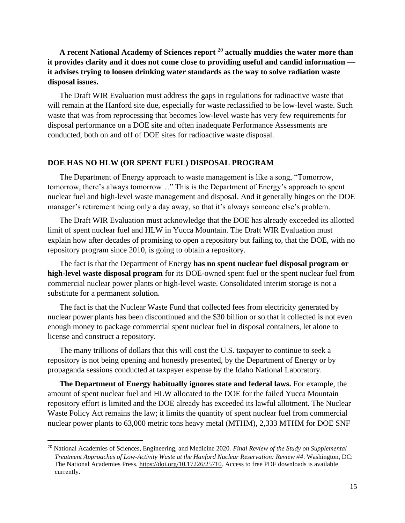# **A recent National Academy of Sciences report** <sup>20</sup> **actually muddies the water more than it provides clarity and it does not come close to providing useful and candid information it advises trying to loosen drinking water standards as the way to solve radiation waste disposal issues.**

The Draft WIR Evaluation must address the gaps in regulations for radioactive waste that will remain at the Hanford site due, especially for waste reclassified to be low-level waste. Such waste that was from reprocessing that becomes low-level waste has very few requirements for disposal performance on a DOE site and often inadequate Performance Assessments are conducted, both on and off of DOE sites for radioactive waste disposal.

#### **DOE HAS NO HLW (OR SPENT FUEL) DISPOSAL PROGRAM**

The Department of Energy approach to waste management is like a song, "Tomorrow, tomorrow, there's always tomorrow…" This is the Department of Energy's approach to spent nuclear fuel and high-level waste management and disposal. And it generally hinges on the DOE manager's retirement being only a day away, so that it's always someone else's problem.

The Draft WIR Evaluation must acknowledge that the DOE has already exceeded its allotted limit of spent nuclear fuel and HLW in Yucca Mountain. The Draft WIR Evaluation must explain how after decades of promising to open a repository but failing to, that the DOE, with no repository program since 2010, is going to obtain a repository.

The fact is that the Department of Energy **has no spent nuclear fuel disposal program or high-level waste disposal program** for its DOE-owned spent fuel or the spent nuclear fuel from commercial nuclear power plants or high-level waste. Consolidated interim storage is not a substitute for a permanent solution.

The fact is that the Nuclear Waste Fund that collected fees from electricity generated by nuclear power plants has been discontinued and the \$30 billion or so that it collected is not even enough money to package commercial spent nuclear fuel in disposal containers, let alone to license and construct a repository.

The many trillions of dollars that this will cost the U.S. taxpayer to continue to seek a repository is not being opening and honestly presented, by the Department of Energy or by propaganda sessions conducted at taxpayer expense by the Idaho National Laboratory.

**The Department of Energy habitually ignores state and federal laws.** For example, the amount of spent nuclear fuel and HLW allocated to the DOE for the failed Yucca Mountain repository effort is limited and the DOE already has exceeded its lawful allotment. The Nuclear Waste Policy Act remains the law; it limits the quantity of spent nuclear fuel from commercial nuclear power plants to 63,000 metric tons heavy metal (MTHM), 2,333 MTHM for DOE SNF

<sup>20</sup> National Academies of Sciences, Engineering, and Medicine 2020. *Final Review of the Study on Supplemental Treatment Approaches of Low-Activity Waste at the Hanford Nuclear Reservation: Review #4*. Washington, DC: The National Academies Press. [https://doi.org/10.17226/25710.](https://doi.org/10.17226/25710) Access to free PDF downloads is available currently.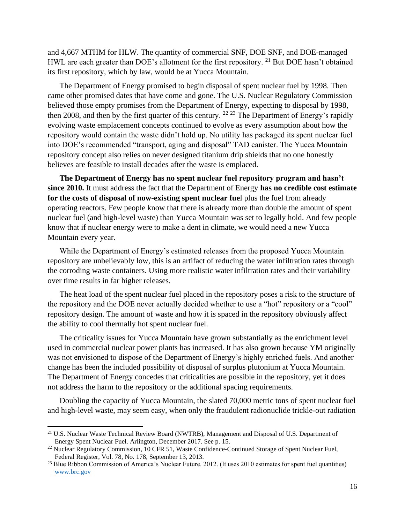and 4,667 MTHM for HLW. The quantity of commercial SNF, DOE SNF, and DOE-managed HWL are each greater than DOE's allotment for the first repository. <sup>21</sup> But DOE hasn't obtained its first repository, which by law, would be at Yucca Mountain.

The Department of Energy promised to begin disposal of spent nuclear fuel by 1998. Then came other promised dates that have come and gone. The U.S. Nuclear Regulatory Commission believed those empty promises from the Department of Energy, expecting to disposal by 1998, then 2008, and then by the first quarter of this century. <sup>22 23</sup> The Department of Energy's rapidly evolving waste emplacement concepts continued to evolve as every assumption about how the repository would contain the waste didn't hold up. No utility has packaged its spent nuclear fuel into DOE's recommended "transport, aging and disposal" TAD canister. The Yucca Mountain repository concept also relies on never designed titanium drip shields that no one honestly believes are feasible to install decades after the waste is emplaced.

**The Department of Energy has no spent nuclear fuel repository program and hasn't since 2010.** It must address the fact that the Department of Energy **has no credible cost estimate for the costs of disposal of now-existing spent nuclear fue**l plus the fuel from already operating reactors. Few people know that there is already more than double the amount of spent nuclear fuel (and high-level waste) than Yucca Mountain was set to legally hold. And few people know that if nuclear energy were to make a dent in climate, we would need a new Yucca Mountain every year.

While the Department of Energy's estimated releases from the proposed Yucca Mountain repository are unbelievably low, this is an artifact of reducing the water infiltration rates through the corroding waste containers. Using more realistic water infiltration rates and their variability over time results in far higher releases.

The heat load of the spent nuclear fuel placed in the repository poses a risk to the structure of the repository and the DOE never actually decided whether to use a "hot" repository or a "cool" repository design. The amount of waste and how it is spaced in the repository obviously affect the ability to cool thermally hot spent nuclear fuel.

The criticality issues for Yucca Mountain have grown substantially as the enrichment level used in commercial nuclear power plants has increased. It has also grown because YM originally was not envisioned to dispose of the Department of Energy's highly enriched fuels. And another change has been the included possibility of disposal of surplus plutonium at Yucca Mountain. The Department of Energy concedes that criticalities are possible in the repository, yet it does not address the harm to the repository or the additional spacing requirements.

Doubling the capacity of Yucca Mountain, the slated 70,000 metric tons of spent nuclear fuel and high-level waste, may seem easy, when only the fraudulent radionuclide trickle-out radiation

<sup>&</sup>lt;sup>21</sup> U.S. Nuclear Waste Technical Review Board (NWTRB), Management and Disposal of U.S. Department of Energy Spent Nuclear Fuel. Arlington, December 2017. See p. 15.

<sup>&</sup>lt;sup>22</sup> Nuclear Regulatory Commission, 10 CFR 51, Waste Confidence-Continued Storage of Spent Nuclear Fuel, Federal Register, Vol. 78, No. 178, September 13, 2013.

<sup>&</sup>lt;sup>23</sup> Blue Ribbon Commission of America's Nuclear Future. 2012. (It uses 2010 estimates for spent fuel quantities) [www.brc.gov](http://www.brc.gov/)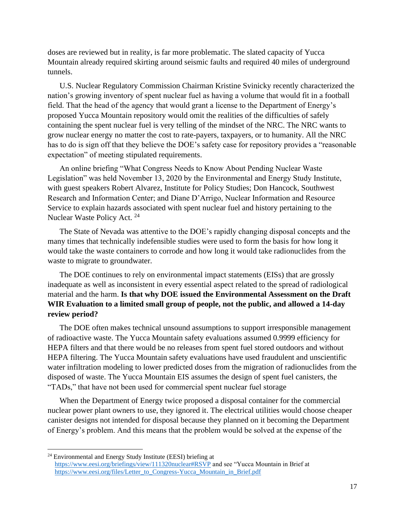doses are reviewed but in reality, is far more problematic. The slated capacity of Yucca Mountain already required skirting around seismic faults and required 40 miles of underground tunnels.

U.S. Nuclear Regulatory Commission Chairman Kristine Svinicky recently characterized the nation's growing inventory of spent nuclear fuel as having a volume that would fit in a football field. That the head of the agency that would grant a license to the Department of Energy's proposed Yucca Mountain repository would omit the realities of the difficulties of safely containing the spent nuclear fuel is very telling of the mindset of the NRC. The NRC wants to grow nuclear energy no matter the cost to rate-payers, taxpayers, or to humanity. All the NRC has to do is sign off that they believe the DOE's safety case for repository provides a "reasonable expectation" of meeting stipulated requirements.

An online briefing "What Congress Needs to Know About Pending Nuclear Waste Legislation" was held November 13, 2020 by the Environmental and Energy Study Institute, with guest speakers Robert Alvarez, Institute for Policy Studies; Don Hancock, Southwest Research and Information Center; and Diane D'Arrigo, Nuclear Information and Resource Service to explain hazards associated with spent nuclear fuel and history pertaining to the Nuclear Waste Policy Act. <sup>24</sup>

The State of Nevada was attentive to the DOE's rapidly changing disposal concepts and the many times that technically indefensible studies were used to form the basis for how long it would take the waste containers to corrode and how long it would take radionuclides from the waste to migrate to groundwater.

The DOE continues to rely on environmental impact statements (EISs) that are grossly inadequate as well as inconsistent in every essential aspect related to the spread of radiological material and the harm. **Is that why DOE issued the Environmental Assessment on the Draft WIR Evaluation to a limited small group of people, not the public, and allowed a 14-day review period?**

The DOE often makes technical unsound assumptions to support irresponsible management of radioactive waste. The Yucca Mountain safety evaluations assumed 0.9999 efficiency for HEPA filters and that there would be no releases from spent fuel stored outdoors and without HEPA filtering. The Yucca Mountain safety evaluations have used fraudulent and unscientific water infiltration modeling to lower predicted doses from the migration of radionuclides from the disposed of waste. The Yucca Mountain EIS assumes the design of spent fuel canisters, the "TADs," that have not been used for commercial spent nuclear fuel storage

When the Department of Energy twice proposed a disposal container for the commercial nuclear power plant owners to use, they ignored it. The electrical utilities would choose cheaper canister designs not intended for disposal because they planned on it becoming the Department of Energy's problem. And this means that the problem would be solved at the expense of the

<sup>&</sup>lt;sup>24</sup> Environmental and Energy Study Institute (EESI) briefing at <https://www.eesi.org/briefings/view/111320nuclear#RSVP> and see "Yucca Mountain in Brief at [https://www.eesi.org/files/Letter\\_to\\_Congress-Yucca\\_Mountain\\_in\\_Brief.pdf](https://www.eesi.org/files/Letter_to_Congress-Yucca_Mountain_in_Brief.pdf)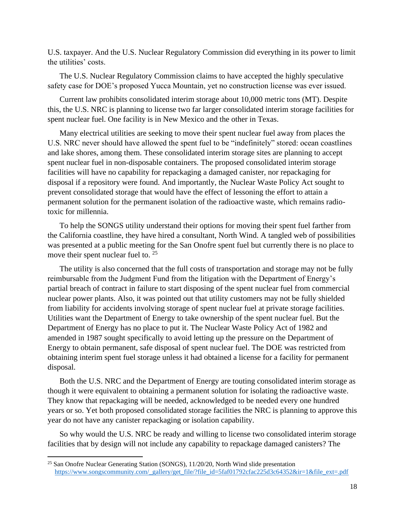U.S. taxpayer. And the U.S. Nuclear Regulatory Commission did everything in its power to limit the utilities' costs.

The U.S. Nuclear Regulatory Commission claims to have accepted the highly speculative safety case for DOE's proposed Yucca Mountain, yet no construction license was ever issued.

Current law prohibits consolidated interim storage about 10,000 metric tons (MT). Despite this, the U.S. NRC is planning to license two far larger consolidated interim storage facilities for spent nuclear fuel. One facility is in New Mexico and the other in Texas.

Many electrical utilities are seeking to move their spent nuclear fuel away from places the U.S. NRC never should have allowed the spent fuel to be "indefinitely" stored: ocean coastlines and lake shores, among them. These consolidated interim storage sites are planning to accept spent nuclear fuel in non-disposable containers. The proposed consolidated interim storage facilities will have no capability for repackaging a damaged canister, nor repackaging for disposal if a repository were found. And importantly, the Nuclear Waste Policy Act sought to prevent consolidated storage that would have the effect of lessoning the effort to attain a permanent solution for the permanent isolation of the radioactive waste, which remains radiotoxic for millennia.

To help the SONGS utility understand their options for moving their spent fuel farther from the California coastline, they have hired a consultant, North Wind. A tangled web of possibilities was presented at a public meeting for the San Onofre spent fuel but currently there is no place to move their spent nuclear fuel to. <sup>25</sup>

The utility is also concerned that the full costs of transportation and storage may not be fully reimbursable from the Judgment Fund from the litigation with the Department of Energy's partial breach of contract in failure to start disposing of the spent nuclear fuel from commercial nuclear power plants. Also, it was pointed out that utility customers may not be fully shielded from liability for accidents involving storage of spent nuclear fuel at private storage facilities. Utilities want the Department of Energy to take ownership of the spent nuclear fuel. But the Department of Energy has no place to put it. The Nuclear Waste Policy Act of 1982 and amended in 1987 sought specifically to avoid letting up the pressure on the Department of Energy to obtain permanent, safe disposal of spent nuclear fuel. The DOE was restricted from obtaining interim spent fuel storage unless it had obtained a license for a facility for permanent disposal.

Both the U.S. NRC and the Department of Energy are touting consolidated interim storage as though it were equivalent to obtaining a permanent solution for isolating the radioactive waste. They know that repackaging will be needed, acknowledged to be needed every one hundred years or so. Yet both proposed consolidated storage facilities the NRC is planning to approve this year do not have any canister repackaging or isolation capability.

So why would the U.S. NRC be ready and willing to license two consolidated interim storage facilities that by design will not include any capability to repackage damaged canisters? The

<sup>&</sup>lt;sup>25</sup> San Onofre Nuclear Generating Station (SONGS), 11/20/20, North Wind slide presentation [https://www.songscommunity.com/\\_gallery/get\\_file/?file\\_id=5faf01792cfac225d3c64352&ir=1&file\\_ext=.pdf](https://www.songscommunity.com/_gallery/get_file/?file_id=5faf01792cfac225d3c64352&ir=1&file_ext=.pdf)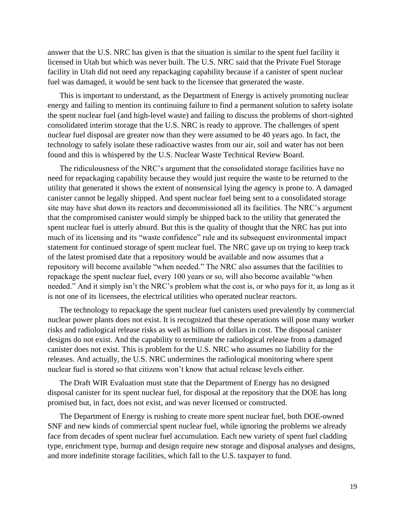answer that the U.S. NRC has given is that the situation is similar to the spent fuel facility it licensed in Utah but which was never built. The U.S. NRC said that the Private Fuel Storage facility in Utah did not need any repackaging capability because if a canister of spent nuclear fuel was damaged, it would be sent back to the licensee that generated the waste.

This is important to understand, as the Department of Energy is actively promoting nuclear energy and failing to mention its continuing failure to find a permanent solution to safety isolate the spent nuclear fuel (and high-level waste) and failing to discuss the problems of short-sighted consolidated interim storage that the U.S. NRC is ready to approve. The challenges of spent nuclear fuel disposal are greater now than they were assumed to be 40 years ago. In fact, the technology to safely isolate these radioactive wastes from our air, soil and water has not been found and this is whispered by the U.S. Nuclear Waste Technical Review Board.

The ridiculousness of the NRC's argument that the consolidated storage facilities have no need for repackaging capability because they would just require the waste to be returned to the utility that generated it shows the extent of nonsensical lying the agency is prone to. A damaged canister cannot be legally shipped. And spent nuclear fuel being sent to a consolidated storage site may have shut down its reactors and decommissioned all its facilities. The NRC's argument that the compromised canister would simply be shipped back to the utility that generated the spent nuclear fuel is utterly absurd. But this is the quality of thought that the NRC has put into much of its licensing and its "waste confidence" rule and its subsequent environmental impact statement for continued storage of spent nuclear fuel. The NRC gave up on trying to keep track of the latest promised date that a repository would be available and now assumes that a repository will become available "when needed." The NRC also assumes that the facilities to repackage the spent nuclear fuel, every 100 years or so, will also become available "when needed." And it simply isn't the NRC's problem what the cost is, or who pays for it, as long as it is not one of its licensees, the electrical utilities who operated nuclear reactors.

The technology to repackage the spent nuclear fuel canisters used prevalently by commercial nuclear power plants does not exist. It is recognized that these operations will pose many worker risks and radiological release risks as well as billions of dollars in cost. The disposal canister designs do not exist. And the capability to terminate the radiological release from a damaged canister does not exist. This is problem for the U.S. NRC who assumes no liability for the releases. And actually, the U.S. NRC undermines the radiological monitoring where spent nuclear fuel is stored so that citizens won't know that actual release levels either.

The Draft WIR Evaluation must state that the Department of Energy has no designed disposal canister for its spent nuclear fuel, for disposal at the repository that the DOE has long promised but, in fact, does not exist, and was never licensed or constructed.

The Department of Energy is rushing to create more spent nuclear fuel, both DOE-owned SNF and new kinds of commercial spent nuclear fuel, while ignoring the problems we already face from decades of spent nuclear fuel accumulation. Each new variety of spent fuel cladding type, enrichment type, burnup and design require new storage and disposal analyses and designs, and more indefinite storage facilities, which fall to the U.S. taxpayer to fund.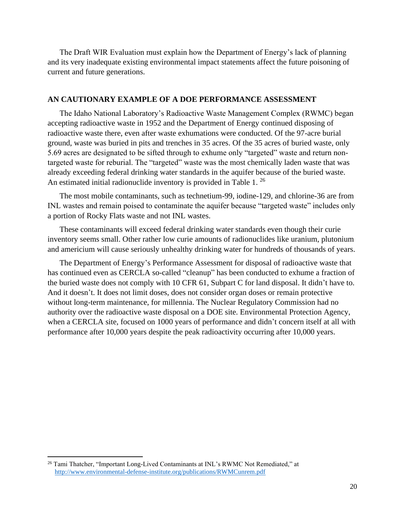The Draft WIR Evaluation must explain how the Department of Energy's lack of planning and its very inadequate existing environmental impact statements affect the future poisoning of current and future generations.

#### **AN CAUTIONARY EXAMPLE OF A DOE PERFORMANCE ASSESSMENT**

The Idaho National Laboratory's Radioactive Waste Management Complex (RWMC) began accepting radioactive waste in 1952 and the Department of Energy continued disposing of radioactive waste there, even after waste exhumations were conducted. Of the 97-acre burial ground, waste was buried in pits and trenches in 35 acres. Of the 35 acres of buried waste, only 5.69 acres are designated to be sifted through to exhume only "targeted" waste and return nontargeted waste for reburial. The "targeted" waste was the most chemically laden waste that was already exceeding federal drinking water standards in the aquifer because of the buried waste. An estimated initial radionuclide inventory is provided in Table 1.<sup>26</sup>

The most mobile contaminants, such as technetium-99, iodine-129, and chlorine-36 are from INL wastes and remain poised to contaminate the aquifer because "targeted waste" includes only a portion of Rocky Flats waste and not INL wastes.

These contaminants will exceed federal drinking water standards even though their curie inventory seems small. Other rather low curie amounts of radionuclides like uranium, plutonium and americium will cause seriously unhealthy drinking water for hundreds of thousands of years.

The Department of Energy's Performance Assessment for disposal of radioactive waste that has continued even as CERCLA so-called "cleanup" has been conducted to exhume a fraction of the buried waste does not comply with 10 CFR 61, Subpart C for land disposal. It didn't have to. And it doesn't. It does not limit doses, does not consider organ doses or remain protective without long-term maintenance, for millennia. The Nuclear Regulatory Commission had no authority over the radioactive waste disposal on a DOE site. Environmental Protection Agency, when a CERCLA site, focused on 1000 years of performance and didn't concern itself at all with performance after 10,000 years despite the peak radioactivity occurring after 10,000 years.

<sup>&</sup>lt;sup>26</sup> Tami Thatcher, "Important Long-Lived Contaminants at INL's RWMC Not Remediated," at <http://www.environmental-defense-institute.org/publications/RWMCunrem.pdf>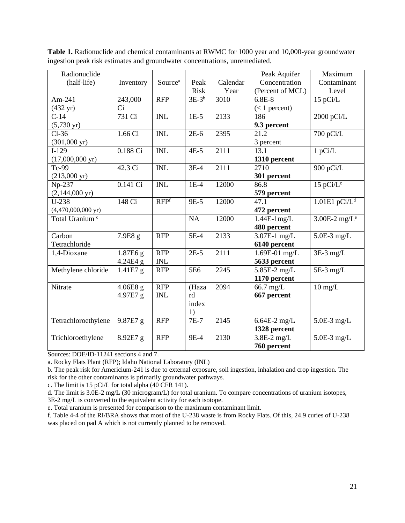| Radionuclide                 |            |                     |                 |          | Peak Aquifer     | Maximum                       |
|------------------------------|------------|---------------------|-----------------|----------|------------------|-------------------------------|
| (half-life)                  | Inventory  | Source <sup>a</sup> | Peak            | Calendar | Concentration    | Contaminant                   |
|                              |            |                     | <b>Risk</b>     | Year     | (Percent of MCL) | Level                         |
| Am-241                       | 243,000    | <b>RFP</b>          | $3E-3b$         | 3010     | $6.8E-8$         | 15 pCi/L                      |
| $(432 \text{ yr})$           | Ci         |                     |                 |          | $(< 1$ percent)  |                               |
| $C-14$                       | 731 Ci     | <b>INL</b>          | $1E-5$          | 2133     | 186              | 2000 pCi/L                    |
| $(5,730 \text{ yr})$         |            |                     |                 |          | 9.3 percent      |                               |
| $Cl-36$                      | 1.66 Ci    | <b>INL</b>          | $2E-6$          | 2395     | 21.2             | $700 \overline{\text{pCi/L}}$ |
| $(301,000 \text{ yr})$       |            |                     |                 |          | 3 percent        |                               |
| $I-129$                      | 0.188 Ci   | <b>INL</b>          | $4E-5$          | 2111     | 13.1             | 1 pCi/L                       |
| $(17,000,000 \text{ yr})$    |            |                     |                 |          | 1310 percent     |                               |
| Tc-99                        | 42.3 Ci    | <b>INL</b>          | $3E-4$          | 2111     | 2710             | 900 pCi/L                     |
| $(213,000 \text{ yr})$       |            |                     |                 |          | 301 percent      |                               |
| Np-237                       | 0.141 Ci   | <b>INL</b>          | $1E-4$          | 12000    | 86.8             | 15 p $Ci/L^c$                 |
| $(2,144,000 \text{ yr})$     |            |                     |                 |          | 579 percent      |                               |
| $U-238$                      | 148 Ci     | RFP <sup>f</sup>    | 9E-5            | 12000    | 47.1             | $1.01E1$ pCi/L <sup>d</sup>   |
| $(4,470,000,000 \text{ yr})$ |            |                     |                 |          | 472 percent      |                               |
| Total Uranium <sup>c</sup>   |            |                     | NA              | 12000    | $1.44E-1mg/L$    | 3.00E-2 mg/ $L^e$             |
|                              |            |                     |                 |          | 480 percent      |                               |
| Carbon                       | 7.9E8 g    | <b>RFP</b>          | 5E-4            | 2133     | 3.07E-1 mg/L     | $5.0E-3$ mg/L                 |
| Tetrachloride                |            |                     |                 |          | 6140 percent     |                               |
| 1,4-Dioxane                  | 1.87E6 g   | <b>RFP</b>          | $2E-5$          | 2111     | 1.69E-01 mg/L    | $3E-3$ mg/L                   |
|                              | 4.24E4 g   | <b>INL</b>          |                 |          | 5633 percent     |                               |
| Methylene chloride           | $1.41E7$ g | <b>RFP</b>          | 5E <sub>6</sub> | 2245     | 5.85E-2 mg/L     | $5E-3$ mg/L                   |
|                              |            |                     |                 |          | 1170 percent     |                               |
| Nitrate                      | $4.06E8$ g | <b>RFP</b>          | (Haza           | 2094     | 66.7 mg/L        | $10 \text{ mg/L}$             |
|                              | 4.97E7 g   | <b>INL</b>          | rd              |          | 667 percent      |                               |
|                              |            |                     | index           |          |                  |                               |
|                              |            |                     | 1)              |          |                  |                               |
| Tetrachloroethylene          | 9.87E7 g   | <b>RFP</b>          | $7E-7$          | 2145     | $6.64E-2$ mg/L   | $5.0E-3$ mg/L                 |
|                              |            |                     |                 |          | 1328 percent     |                               |
| Trichloroethylene            | 8.92E7 g   | <b>RFP</b>          | 9E-4            | 2130     | $3.8E-2$ mg/L    | $5.0E-3$ mg/L                 |
|                              |            |                     |                 |          | 760 percent      |                               |

Table 1. Radionuclide and chemical contaminants at RWMC for 1000 year and 10,000-year groundwater ingestion peak risk estimates and groundwater concentrations, unremediated.

Sources: DOE/ID-11241 sections 4 and 7.

a. Rocky Flats Plant (RFP); Idaho National Laboratory (INL)

b. The peak risk for Americium-241 is due to external exposure, soil ingestion, inhalation and crop ingestion. The risk for the other contaminants is primarily groundwater pathways.

c. The limit is 15 pCi/L for total alpha (40 CFR 141).

d. The limit is 3.0E-2 mg/L (30 microgram/L) for total uranium. To compare concentrations of uranium isotopes, 3E-2 mg/L is converted to the equivalent activity for each isotope.

e. Total uranium is presented for comparison to the maximum contaminant limit.

f. Table 4-4 of the RI/BRA shows that most of the U-238 waste is from Rocky Flats. Of this, 24.9 curies of U-238 was placed on pad A which is not currently planned to be removed.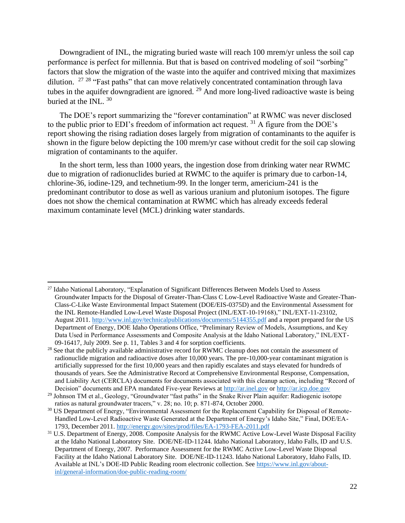Downgradient of INL, the migrating buried waste will reach 100 mrem/yr unless the soil cap performance is perfect for millennia. But that is based on contrived modeling of soil "sorbing" factors that slow the migration of the waste into the aquifer and contrived mixing that maximizes dilution.  $27 \frac{28}{18}$  "Fast paths" that can move relatively concentrated contamination through lava tubes in the aquifer downgradient are ignored.  $29$  And more long-lived radioactive waste is being buried at the INL.<sup>30</sup>

The DOE's report summarizing the "forever contamination" at RWMC was never disclosed to the public prior to EDI's freedom of information act request. <sup>31</sup> A figure from the DOE's report showing the rising radiation doses largely from migration of contaminants to the aquifer is shown in the figure below depicting the 100 mrem/yr case without credit for the soil cap slowing migration of contaminants to the aquifer.

In the short term, less than 1000 years, the ingestion dose from drinking water near RWMC due to migration of radionuclides buried at RWMC to the aquifer is primary due to carbon-14, chlorine-36, iodine-129, and technetium-99. In the longer term, americium-241 is the predominant contributor to dose as well as various uranium and plutonium isotopes. The figure does not show the chemical contamination at RWMC which has already exceeds federal maximum contaminate level (MCL) drinking water standards.

<sup>&</sup>lt;sup>27</sup> Idaho National Laboratory, "Explanation of Significant Differences Between Models Used to Assess Groundwater Impacts for the Disposal of Greater-Than-Class C Low-Level Radioactive Waste and Greater-Than-Class-C-Like Waste Environmental Impact Statement (DOE/EIS-0375D) and the Environmental Assessment for the INL Remote-Handled Low-Level Waste Disposal Project (INL/EXT-10-19168)," INL/EXT-11-23102, August 2011.<http://www.inl.gov/technicalpublications/documents/5144355.pdf> and a report prepared for the US Department of Energy, DOE Idaho Operations Office, "Preliminary Review of Models, Assumptions, and Key Data Used in Performance Assessments and Composite Analysis at the Idaho National Laboratory," INL/EXT-09-16417, July 2009. See p. 11, Tables 3 and 4 for sorption coefficients.

<sup>&</sup>lt;sup>28</sup> See that the publicly available administrative record for RWMC cleanup does not contain the assessment of radionuclide migration and radioactive doses after 10,000 years. The pre-10,000-year contaminant migration is artificially suppressed for the first 10,000 years and then rapidly escalates and stays elevated for hundreds of thousands of years. See the Administrative Record at Comprehensive Environmental Response, Compensation, and Liability Act (CERCLA) documents for documents associated with this cleanup action, including "Record of Decision" documents and EPA mandated Five-year Reviews at [http://ar.inel.gov](http://ar.inel.gov/) or [http://ar.icp.doe.gov](http://ar.icp.doe.gov/)

<sup>&</sup>lt;sup>29</sup> Johnson TM et al., Geology, "Groundwater "fast paths" in the Snake River Plain aquifer: Radiogenic isotope ratios as natural groundwater tracers," v. 28; no. 10; p. 871-874, October 2000.

<sup>&</sup>lt;sup>30</sup> US Department of Energy, "Environmental Assessment for the Replacement Capability for Disposal of Remote-Handled Low-Level Radioactive Waste Generated at the Department of Energy's Idaho Site," Final, DOE/EA-1793, December 2011.<http://energy.gov/sites/prod/files/EA-1793-FEA-2011.pdf>

<sup>&</sup>lt;sup>31</sup> U.S. Department of Energy, 2008. Composite Analysis for the RWMC Active Low-Level Waste Disposal Facility at the Idaho National Laboratory Site. DOE/NE-ID-11244. Idaho National Laboratory, Idaho Falls, ID and U.S. Department of Energy, 2007. Performance Assessment for the RWMC Active Low-Level Waste Disposal Facility at the Idaho National Laboratory Site. DOE/NE-ID-11243. Idaho National Laboratory, Idaho Falls, ID. Available at INL's DOE-ID Public Reading room electronic collection. See [https://www.inl.gov/about](https://www.inl.gov/about-inl/general-information/doe-public-reading-room/)[inl/general-information/doe-public-reading-room/](https://www.inl.gov/about-inl/general-information/doe-public-reading-room/)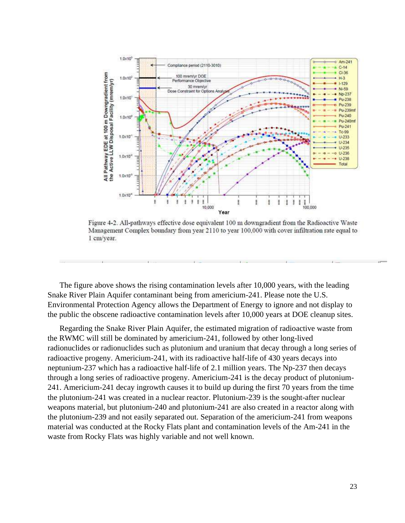

Figure 4-2. All-pathways effective dose equivalent 100 m downgradient from the Radioactive Waste Management Complex boundary from year 2110 to year 100,000 with cover infiltration rate equal to 1 cm/year.

The figure above shows the rising contamination levels after 10,000 years, with the leading Snake River Plain Aquifer contaminant being from americium-241. Please note the U.S. Environmental Protection Agency allows the Department of Energy to ignore and not display to the public the obscene radioactive contamination levels after 10,000 years at DOE cleanup sites.

Regarding the Snake River Plain Aquifer, the estimated migration of radioactive waste from the RWMC will still be dominated by americium-241, followed by other long-lived radionuclides or radionuclides such as plutonium and uranium that decay through a long series of radioactive progeny. Americium-241, with its radioactive half-life of 430 years decays into neptunium-237 which has a radioactive half-life of 2.1 million years. The Np-237 then decays through a long series of radioactive progeny. Americium-241 is the decay product of plutonium-241. Americium-241 decay ingrowth causes it to build up during the first 70 years from the time the plutonium-241 was created in a nuclear reactor. Plutonium-239 is the sought-after nuclear weapons material, but plutonium-240 and plutonium-241 are also created in a reactor along with the plutonium-239 and not easily separated out. Separation of the americium-241 from weapons material was conducted at the Rocky Flats plant and contamination levels of the Am-241 in the waste from Rocky Flats was highly variable and not well known.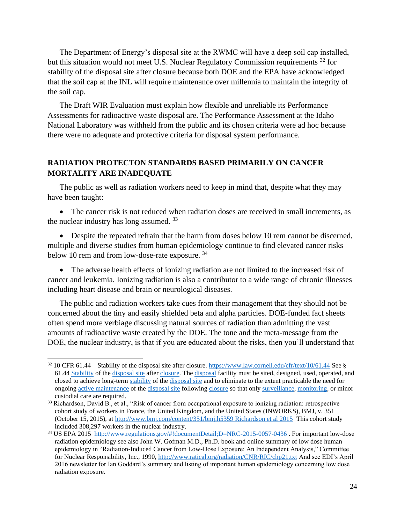The Department of Energy's disposal site at the RWMC will have a deep soil cap installed, but this situation would not meet U.S. Nuclear Regulatory Commission requirements <sup>32</sup> for stability of the disposal site after closure because both DOE and the EPA have acknowledged that the soil cap at the INL will require maintenance over millennia to maintain the integrity of the soil cap.

The Draft WIR Evaluation must explain how flexible and unreliable its Performance Assessments for radioactive waste disposal are. The Performance Assessment at the Idaho National Laboratory was withheld from the public and its chosen criteria were ad hoc because there were no adequate and protective criteria for disposal system performance.

# **RADIATION PROTECTON STANDARDS BASED PRIMARILY ON CANCER MORTALITY ARE INADEQUATE**

The public as well as radiation workers need to keep in mind that, despite what they may have been taught:

• The cancer risk is not reduced when radiation doses are received in small increments, as the nuclear industry has long assumed.<sup>33</sup>

• Despite the repeated refrain that the harm from doses below 10 rem cannot be discerned, multiple and diverse studies from human epidemiology continue to find elevated cancer risks below 10 rem and from low-dose-rate exposure. <sup>34</sup>

• The adverse health effects of ionizing radiation are not limited to the increased risk of cancer and leukemia. Ionizing radiation is also a contributor to a wide range of chronic illnesses including heart disease and brain or neurological diseases.

The public and radiation workers take cues from their management that they should not be concerned about the tiny and easily shielded beta and alpha particles. DOE-funded fact sheets often spend more verbiage discussing natural sources of radiation than admitting the vast amounts of radioactive waste created by the DOE. The tone and the meta-message from the DOE, the nuclear industry, is that if you are educated about the risks, then you'll understand that

<sup>32</sup> 10 CFR 61.44 – Stability of the disposal site after closure[. https://www.law.cornell.edu/cfr/text/10/61.44](https://www.law.cornell.edu/cfr/text/10/61.44) See § 61.44 [Stability](https://www.law.cornell.edu/definitions/index.php?width=840&height=800&iframe=true&def_id=f97feb89014cca31358add6208fbddf7&term_occur=999&term_src=Title:10:Chapter:I:Part:61:Subpart:C:61.44) of th[e disposal site](https://www.law.cornell.edu/definitions/index.php?width=840&height=800&iframe=true&def_id=009cb0bbf848db41f94f0f7b3136e6f7&term_occur=999&term_src=Title:10:Chapter:I:Part:61:Subpart:C:61.44) after [closure.](https://www.law.cornell.edu/definitions/index.php?width=840&height=800&iframe=true&def_id=690acee8500129dc7d111627f347273c&term_occur=999&term_src=Title:10:Chapter:I:Part:61:Subpart:C:61.44) The [disposal](https://www.law.cornell.edu/definitions/index.php?width=840&height=800&iframe=true&def_id=96d5084623620b2e587c06db009b78d5&term_occur=999&term_src=Title:10:Chapter:I:Part:61:Subpart:C:61.44) facility must be sited, designed, used, operated, and closed to achieve long-term [stability](https://www.law.cornell.edu/definitions/index.php?width=840&height=800&iframe=true&def_id=f97feb89014cca31358add6208fbddf7&term_occur=999&term_src=Title:10:Chapter:I:Part:61:Subpart:C:61.44) of th[e disposal site](https://www.law.cornell.edu/definitions/index.php?width=840&height=800&iframe=true&def_id=009cb0bbf848db41f94f0f7b3136e6f7&term_occur=999&term_src=Title:10:Chapter:I:Part:61:Subpart:C:61.44) and to eliminate to the extent practicable the need for ongoing [active maintenance](https://www.law.cornell.edu/definitions/index.php?width=840&height=800&iframe=true&def_id=c83f55410e5a2c41e60d05c6da26ab11&term_occur=999&term_src=Title:10:Chapter:I:Part:61:Subpart:C:61.44) of the [disposal site](https://www.law.cornell.edu/definitions/index.php?width=840&height=800&iframe=true&def_id=009cb0bbf848db41f94f0f7b3136e6f7&term_occur=999&term_src=Title:10:Chapter:I:Part:61:Subpart:C:61.44) following [closure](https://www.law.cornell.edu/definitions/index.php?width=840&height=800&iframe=true&def_id=690acee8500129dc7d111627f347273c&term_occur=999&term_src=Title:10:Chapter:I:Part:61:Subpart:C:61.44) so that onl[y surveillance,](https://www.law.cornell.edu/definitions/index.php?width=840&height=800&iframe=true&def_id=2960e159e5b4a5837b0969bb50930e9b&term_occur=999&term_src=Title:10:Chapter:I:Part:61:Subpart:C:61.44) [monitoring,](https://www.law.cornell.edu/definitions/index.php?width=840&height=800&iframe=true&def_id=91f49bf48fcd4b8a2057728a7b83bb17&term_occur=999&term_src=Title:10:Chapter:I:Part:61:Subpart:C:61.44) or minor custodial care are required.

<sup>&</sup>lt;sup>33</sup> Richardson, David B., et al., "Risk of cancer from occupational exposure to ionizing radiation: retrospective cohort study of workers in France, the United Kingdom, and the United States (INWORKS), BMJ, v. 351 (October 15, 2015), at [http://www.bmj.com/content/351/bmj.h5359 Richardson et al 2015](http://www.bmj.com/content/351/bmj.h5359%20Richardson%20et%20al%202015) This cohort study included 308,297 workers in the nuclear industry.

<sup>&</sup>lt;sup>34</sup> US EPA 2015<http://www.regulations.gov/#!documentDetail;D=NRC-2015-0057-0436>. For important low-dose radiation epidemiology see also John W. Gofman M.D., Ph.D. book and online summary of low dose human epidemiology in "Radiation-Induced Cancer from Low-Dose Exposure: An Independent Analysis," Committee for Nuclear Responsibility, Inc., 1990,<http://www.ratical.org/radiation/CNR/RIC/chp21.txt> And see EDI's April 2016 newsletter for Ian Goddard's summary and listing of important human epidemiology concerning low dose radiation exposure.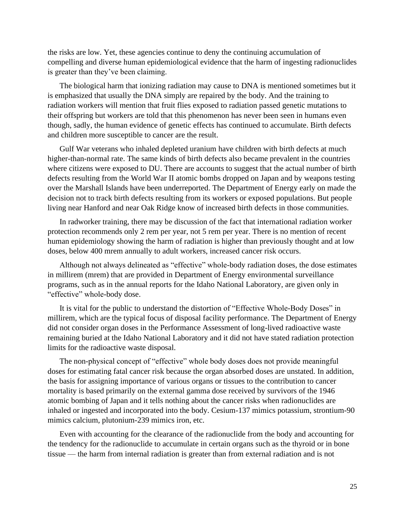the risks are low. Yet, these agencies continue to deny the continuing accumulation of compelling and diverse human epidemiological evidence that the harm of ingesting radionuclides is greater than they've been claiming.

The biological harm that ionizing radiation may cause to DNA is mentioned sometimes but it is emphasized that usually the DNA simply are repaired by the body. And the training to radiation workers will mention that fruit flies exposed to radiation passed genetic mutations to their offspring but workers are told that this phenomenon has never been seen in humans even though, sadly, the human evidence of genetic effects has continued to accumulate. Birth defects and children more susceptible to cancer are the result.

Gulf War veterans who inhaled depleted uranium have children with birth defects at much higher-than-normal rate. The same kinds of birth defects also became prevalent in the countries where citizens were exposed to DU. There are accounts to suggest that the actual number of birth defects resulting from the World War II atomic bombs dropped on Japan and by weapons testing over the Marshall Islands have been underreported. The Department of Energy early on made the decision not to track birth defects resulting from its workers or exposed populations. But people living near Hanford and near Oak Ridge know of increased birth defects in those communities.

In radworker training, there may be discussion of the fact that international radiation worker protection recommends only 2 rem per year, not 5 rem per year. There is no mention of recent human epidemiology showing the harm of radiation is higher than previously thought and at low doses, below 400 mrem annually to adult workers, increased cancer risk occurs.

Although not always delineated as "effective" whole-body radiation doses, the dose estimates in millirem (mrem) that are provided in Department of Energy environmental surveillance programs, such as in the annual reports for the Idaho National Laboratory, are given only in "effective" whole-body dose.

It is vital for the public to understand the distortion of "Effective Whole-Body Doses" in millirem, which are the typical focus of disposal facility performance. The Department of Energy did not consider organ doses in the Performance Assessment of long-lived radioactive waste remaining buried at the Idaho National Laboratory and it did not have stated radiation protection limits for the radioactive waste disposal.

The non-physical concept of "effective" whole body doses does not provide meaningful doses for estimating fatal cancer risk because the organ absorbed doses are unstated. In addition, the basis for assigning importance of various organs or tissues to the contribution to cancer mortality is based primarily on the external gamma dose received by survivors of the 1946 atomic bombing of Japan and it tells nothing about the cancer risks when radionuclides are inhaled or ingested and incorporated into the body. Cesium-137 mimics potassium, strontium-90 mimics calcium, plutonium-239 mimics iron, etc.

Even with accounting for the clearance of the radionuclide from the body and accounting for the tendency for the radionuclide to accumulate in certain organs such as the thyroid or in bone tissue — the harm from internal radiation is greater than from external radiation and is not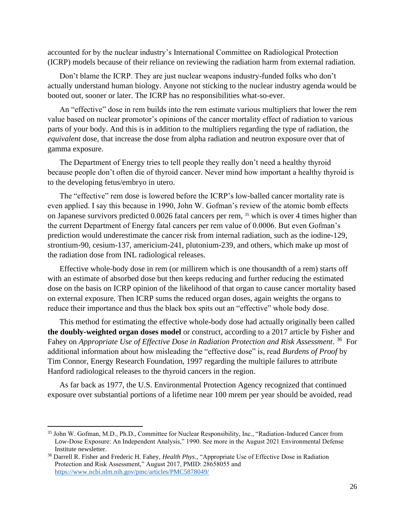accounted for by the nuclear industry's International Committee on Radiological Protection (ICRP) models because of their reliance on reviewing the radiation harm from external radiation.

Don't blame the ICRP. They are just nuclear weapons industry-funded folks who don't actually understand human biology. Anyone not sticking to the nuclear industry agenda would be booted out, sooner or later. The ICRP has no responsibilities what-so-ever.

An "effective" dose in rem builds into the rem estimate various multipliers that lower the rem value based on nuclear promotor's opinions of the cancer mortality effect of radiation to various parts of your body. And this is in addition to the multipliers regarding the type of radiation, the *equivalent* dose, that increase the dose from alpha radiation and neutron exposure over that of gamma exposure.

The Department of Energy tries to tell people they really don't need a healthy thyroid because people don't often die of thyroid cancer. Never mind how important a healthy thyroid is to the developing fetus/embryo in utero.

The "effective" rem dose is lowered before the ICRP's low-balled cancer mortality rate is even applied. I say this because in 1990, John W. Gofman's review of the atomic bomb effects on Japanese survivors predicted 0.0026 fatal cancers per rem, <sup>35</sup> which is over 4 times higher than the current Department of Energy fatal cancers per rem value of 0.0006. But even Gofman's prediction would underestimate the cancer risk from internal radiation, such as the iodine-129, strontium-90, cesium-137, americium-241, plutonium-239, and others, which make up most of the radiation dose from INL radiological releases.

Effective whole-body dose in rem (or millirem which is one thousandth of a rem) starts off with an estimate of absorbed dose but then keeps reducing and further reducing the estimated dose on the basis on ICRP opinion of the likelihood of that organ to cause cancer mortality based on external exposure. Then ICRP sums the reduced organ doses, again weights the organs to reduce their importance and thus the black box spits out an "effective" whole body dose.

This method for estimating the effective whole-body dose had actually originally been called **the doubly-weighted organ doses model** or construct, according to a 2017 article by Fisher and Fahey on *Appropriate Use of Effective Dose in Radiation Protection and Risk Assessment*. <sup>36</sup> For additional information about how misleading the "effective dose" is, read *Burdens of Proof* by Tim Connor, Energy Research Foundation, 1997 regarding the multiple failures to attribute Hanford radiological releases to the thyroid cancers in the region.

As far back as 1977, the U.S. Environmental Protection Agency recognized that continued exposure over substantial portions of a lifetime near 100 mrem per year should be avoided, read

<sup>35</sup> John W. Gofman, M.D., Ph.D., Committee for Nuclear Responsibility, Inc., "Radiation-Induced Cancer from Low-Dose Exposure: An Independent Analysis," 1990. See more in the August 2021 Environmental Defense Institute newsletter.

<sup>36</sup> Darrell R. Fisher and Frederic H. Fahey, *Health Phys*., "Appropriate Use of Effective Dose in Radiation Protection and Risk Assessment," August 2017, PMID: 28658055 and <https://www.ncbi.nlm.nih.gov/pmc/articles/PMC5878049/>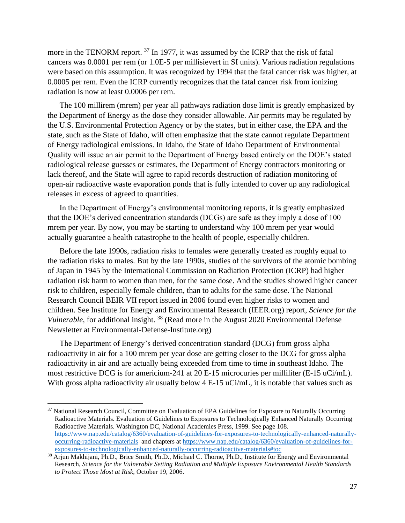more in the TENORM report.<sup>37</sup> In 1977, it was assumed by the ICRP that the risk of fatal cancers was 0.0001 per rem (or 1.0E-5 per millisievert in SI units). Various radiation regulations were based on this assumption. It was recognized by 1994 that the fatal cancer risk was higher, at 0.0005 per rem. Even the ICRP currently recognizes that the fatal cancer risk from ionizing radiation is now at least 0.0006 per rem.

The 100 millirem (mrem) per year all pathways radiation dose limit is greatly emphasized by the Department of Energy as the dose they consider allowable. Air permits may be regulated by the U.S. Environmental Protection Agency or by the states, but in either case, the EPA and the state, such as the State of Idaho, will often emphasize that the state cannot regulate Department of Energy radiological emissions. In Idaho, the State of Idaho Department of Environmental Quality will issue an air permit to the Department of Energy based entirely on the DOE's stated radiological release guesses or estimates, the Department of Energy contractors monitoring or lack thereof, and the State will agree to rapid records destruction of radiation monitoring of open-air radioactive waste evaporation ponds that is fully intended to cover up any radiological releases in excess of agreed to quantities.

In the Department of Energy's environmental monitoring reports, it is greatly emphasized that the DOE's derived concentration standards (DCGs) are safe as they imply a dose of 100 mrem per year. By now, you may be starting to understand why 100 mrem per year would actually guarantee a health catastrophe to the health of people, especially children.

Before the late 1990s, radiation risks to females were generally treated as roughly equal to the radiation risks to males. But by the late 1990s, studies of the survivors of the atomic bombing of Japan in 1945 by the International Commission on Radiation Protection (ICRP) had higher radiation risk harm to women than men, for the same dose. And the studies showed higher cancer risk to children, especially female children, than to adults for the same dose. The National Research Council BEIR VII report issued in 2006 found even higher risks to women and children. See Institute for Energy and Environmental Research (IEER.org) report, *Science for the Vulnerable*, for additional insight. <sup>38</sup> (Read more in the August 2020 Environmental Defense Newsletter at Environmental-Defense-Institute.org)

The Department of Energy's derived concentration standard (DCG) from gross alpha radioactivity in air for a 100 mrem per year dose are getting closer to the DCG for gross alpha radioactivity in air and are actually being exceeded from time to time in southeast Idaho. The most restrictive DCG is for americium-241 at 20 E-15 microcuries per milliliter (E-15 uCi/mL). With gross alpha radioactivity air usually below 4 E-15 uCi/mL, it is notable that values such as

<sup>&</sup>lt;sup>37</sup> National Research Council, Committee on Evaluation of EPA Guidelines for Exposure to Naturally Occurring Radioactive Materials. Evaluation of Guidelines to Exposures to Technologically Enhanced Naturally Occurring Radioactive Materials. Washington DC, National Academies Press, 1999. See page 108. [https://www.nap.edu/catalog/6360/evaluation-of-guidelines-for-exposures-to-technologically-enhanced-naturally](https://www.nap.edu/catalog/6360/evaluation-of-guidelines-for-exposures-to-technologically-enhanced-naturally-occurring-radioactive-materials)[occurring-radioactive-materials](https://www.nap.edu/catalog/6360/evaluation-of-guidelines-for-exposures-to-technologically-enhanced-naturally-occurring-radioactive-materials) and chapters at [https://www.nap.edu/catalog/6360/evaluation-of-guidelines-for](https://www.nap.edu/catalog/6360/evaluation-of-guidelines-for-exposures-to-technologically-enhanced-naturally-occurring-radioactive-materials#toc)[exposures-to-technologically-enhanced-naturally-occurring-radioactive-materials#toc](https://www.nap.edu/catalog/6360/evaluation-of-guidelines-for-exposures-to-technologically-enhanced-naturally-occurring-radioactive-materials#toc)

<sup>38</sup> Arjun Makhijani, Ph.D., Brice Smith, Ph.D., Michael C. Thorne, Ph.D., Institute for Energy and Environmental Research, *Science for the Vulnerable Setting Radiation and Multiple Exposure Environmental Health Standards to Protect Those Most at Risk*, October 19, 2006.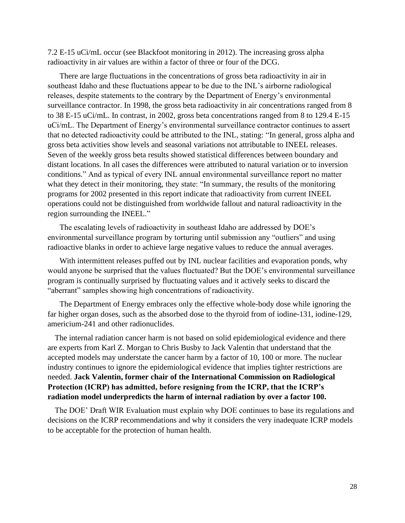7.2 E-15 uCi/mL occur (see Blackfoot monitoring in 2012). The increasing gross alpha radioactivity in air values are within a factor of three or four of the DCG.

There are large fluctuations in the concentrations of gross beta radioactivity in air in southeast Idaho and these fluctuations appear to be due to the INL's airborne radiological releases, despite statements to the contrary by the Department of Energy's environmental surveillance contractor. In 1998, the gross beta radioactivity in air concentrations ranged from 8 to 38 E-15 uCi/mL. In contrast, in 2002, gross beta concentrations ranged from 8 to 129.4 E-15 uCi/mL. The Department of Energy's environmental surveillance contractor continues to assert that no detected radioactivity could be attributed to the INL, stating: "In general, gross alpha and gross beta activities show levels and seasonal variations not attributable to INEEL releases. Seven of the weekly gross beta results showed statistical differences between boundary and distant locations. In all cases the differences were attributed to natural variation or to inversion conditions." And as typical of every INL annual environmental surveillance report no matter what they detect in their monitoring, they state: "In summary, the results of the monitoring programs for 2002 presented in this report indicate that radioactivity from current INEEL operations could not be distinguished from worldwide fallout and natural radioactivity in the region surrounding the INEEL."

The escalating levels of radioactivity in southeast Idaho are addressed by DOE's environmental surveillance program by torturing until submission any "outliers" and using radioactive blanks in order to achieve large negative values to reduce the annual averages.

With intermittent releases puffed out by INL nuclear facilities and evaporation ponds, why would anyone be surprised that the values fluctuated? But the DOE's environmental surveillance program is continually surprised by fluctuating values and it actively seeks to discard the "aberrant" samples showing high concentrations of radioactivity.

The Department of Energy embraces only the effective whole-body dose while ignoring the far higher organ doses, such as the absorbed dose to the thyroid from of iodine-131, iodine-129, americium-241 and other radionuclides.

The internal radiation cancer harm is not based on solid epidemiological evidence and there are experts from Karl Z. Morgan to Chris Busby to Jack Valentin that understand that the accepted models may understate the cancer harm by a factor of 10, 100 or more. The nuclear industry continues to ignore the epidemiological evidence that implies tighter restrictions are needed. **Jack Valentin, former chair of the International Commission on Radiological Protection (ICRP) has admitted, before resigning from the ICRP, that the ICRP's radiation model underpredicts the harm of internal radiation by over a factor 100.** 

The DOE' Draft WIR Evaluation must explain why DOE continues to base its regulations and decisions on the ICRP recommendations and why it considers the very inadequate ICRP models to be acceptable for the protection of human health.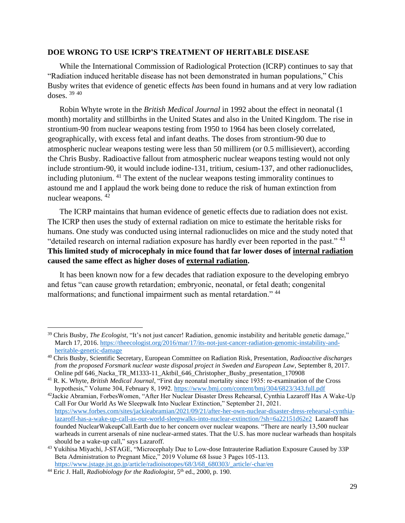#### **DOE WRONG TO USE ICRP'S TREATMENT OF HERITABLE DISEASE**

While the International Commission of Radiological Protection (ICRP) continues to say that "Radiation induced heritable disease has not been demonstrated in human populations," Chis Busby writes that evidence of genetic effects *has* been found in humans and at very low radiation doses. <sup>39</sup> <sup>40</sup>

Robin Whyte wrote in the *British Medical Journal* in 1992 about the effect in neonatal (1 month) mortality and stillbirths in the United States and also in the United Kingdom. The rise in strontium-90 from nuclear weapons testing from 1950 to 1964 has been closely correlated, geographically, with excess fetal and infant deaths. The doses from strontium-90 due to atmospheric nuclear weapons testing were less than 50 millirem (or 0.5 millisievert), according the Chris Busby. Radioactive fallout from atmospheric nuclear weapons testing would not only include strontium-90, it would include iodine-131, tritium, cesium-137, and other radionuclides, including plutonium. <sup>41</sup> The extent of the nuclear weapons testing immorality continues to astound me and I applaud the work being done to reduce the risk of human extinction from nuclear weapons. <sup>42</sup>

The ICRP maintains that human evidence of genetic effects due to radiation does not exist. The ICRP then uses the study of external radiation on mice to estimate the heritable risks for humans. One study was conducted using internal radionuclides on mice and the study noted that "detailed research on internal radiation exposure has hardly ever been reported in the past." <sup>43</sup> **This limited study of microcephaly in mice found that far lower doses of internal radiation caused the same effect as higher doses of external radiation.** 

It has been known now for a few decades that radiation exposure to the developing embryo and fetus "can cause growth retardation; embryonic, neonatal, or fetal death; congenital malformations; and functional impairment such as mental retardation." <sup>44</sup>

<sup>39</sup> Chris Busby, *The Ecologist*, "It's not just cancer! Radiation, genomic instability and heritable genetic damage," March 17, 2016. [https://theecologist.org/2016/mar/17/its-not-just-cancer-radiation-genomic-instability-and](https://theecologist.org/2016/mar/17/its-not-just-cancer-radiation-genomic-instability-and-heritable-genetic-damage)[heritable-genetic-damage](https://theecologist.org/2016/mar/17/its-not-just-cancer-radiation-genomic-instability-and-heritable-genetic-damage)

<sup>40</sup> Chris Busby, Scientific Secretary, European Committee on Radiation Risk, Presentation, *Radioactive discharges from the proposed Forsmark nuclear waste disposal project in Sweden and European Law*, September 8, 2017. Online pdf 646\_Nacka\_TR\_M1333-11\_Aktbil\_646\_Christopher\_Busby\_presentation\_170908

<sup>41</sup> R. K. Whyte, *British Medical Journal*, "First day neonatal mortality since 1935: re-examination of the Cross hypothesis," Volume 304, February 8, 1992.<https://www.bmj.com/content/bmj/304/6823/343.full.pdf>

<sup>42</sup>Jackie Abramian, ForbesWomen, "After Her Nuclear Disaster Dress Rehearsal, Cynthia Lazaroff Has A Wake-Up Call For Our World As We Sleepwalk Into Nuclear Extinction," September 21, 2021. [https://www.forbes.com/sites/jackieabramian/2021/09/21/after-her-own-nuclear-disaster-dress-rehearsal-cynthia](https://www.forbes.com/sites/jackieabramian/2021/09/21/after-her-own-nuclear-disaster-dress-rehearsal-cynthia-lazaroff-has-a-wake-up-call-as-our-world-sleepwalks-into-nuclear-extinction/?sh=6a22151d62e2)[lazaroff-has-a-wake-up-call-as-our-world-sleepwalks-into-nuclear-extinction/?sh=6a22151d62e2](https://www.forbes.com/sites/jackieabramian/2021/09/21/after-her-own-nuclear-disaster-dress-rehearsal-cynthia-lazaroff-has-a-wake-up-call-as-our-world-sleepwalks-into-nuclear-extinction/?sh=6a22151d62e2) Lazaroff has founded NuclearWakeupCall.Earth due to her concern over nuclear weapons. "There are nearly 13,500 nuclear warheads in current arsenals of nine nuclear-armed states. That the U.S. has more nuclear warheads than hospitals should be a wake-up call," says Lazaroff.

<sup>&</sup>lt;sup>43</sup> Yukihisa Miyachi, J-STAGE, "Microcephaly Due to Low-dose Intrauterine Radiation Exposure Caused by 33P Beta Administration to Pregnant Mice," 2019 Volume 68 Issue 3 Pages 105-113. [https://www.jstage.jst.go.jp/article/radioisotopes/68/3/68\\_680303/\\_article/-char/en](https://www.jstage.jst.go.jp/article/radioisotopes/68/3/68_680303/_article/-char/en)

<sup>&</sup>lt;sup>44</sup> Eric J. Hall, *Radiobiology for the Radiologist*, 5<sup>th</sup> ed., 2000, p. 190.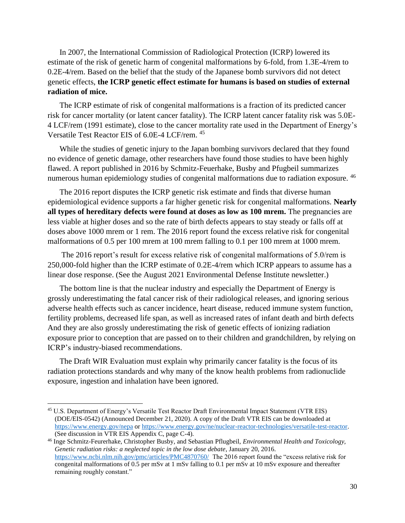In 2007, the International Commission of Radiological Protection (ICRP) lowered its estimate of the risk of genetic harm of congenital malformations by 6-fold, from 1.3E-4/rem to 0.2E-4/rem. Based on the belief that the study of the Japanese bomb survivors did not detect genetic effects, **the ICRP genetic effect estimate for humans is based on studies of external radiation of mice.**

The ICRP estimate of risk of congenital malformations is a fraction of its predicted cancer risk for cancer mortality (or latent cancer fatality). The ICRP latent cancer fatality risk was 5.0E-4 LCF/rem (1991 estimate), close to the cancer mortality rate used in the Department of Energy's Versatile Test Reactor EIS of 6.0E-4 LCF/rem. <sup>45</sup>

While the studies of genetic injury to the Japan bombing survivors declared that they found no evidence of genetic damage, other researchers have found those studies to have been highly flawed. A report published in 2016 by Schmitz-Feuerhake, Busby and Pfugbeil summarizes numerous human epidemiology studies of congenital malformations due to radiation exposure. <sup>46</sup>

The 2016 report disputes the ICRP genetic risk estimate and finds that diverse human epidemiological evidence supports a far higher genetic risk for congenital malformations. **Nearly all types of hereditary defects were found at doses as low as 100 mrem.** The pregnancies are less viable at higher doses and so the rate of birth defects appears to stay steady or falls off at doses above 1000 mrem or 1 rem. The 2016 report found the excess relative risk for congenital malformations of 0.5 per 100 mrem at 100 mrem falling to 0.1 per 100 mrem at 1000 mrem.

The 2016 report's result for excess relative risk of congenital malformations of 5.0/rem is 250,000-fold higher than the ICRP estimate of 0.2E-4/rem which ICRP appears to assume has a linear dose response. (See the August 2021 Environmental Defense Institute newsletter.)

The bottom line is that the nuclear industry and especially the Department of Energy is grossly underestimating the fatal cancer risk of their radiological releases, and ignoring serious adverse health effects such as cancer incidence, heart disease, reduced immune system function, fertility problems, decreased life span, as well as increased rates of infant death and birth defects And they are also grossly underestimating the risk of genetic effects of ionizing radiation exposure prior to conception that are passed on to their children and grandchildren, by relying on ICRP's industry-biased recommendations.

The Draft WIR Evaluation must explain why primarily cancer fatality is the focus of its radiation protections standards and why many of the know health problems from radionuclide exposure, ingestion and inhalation have been ignored.

<sup>45</sup> U.S. Department of Energy's Versatile Test Reactor Draft Environmental Impact Statement (VTR EIS) (DOE/EIS-0542) (Announced December 21, 2020). A copy of the Draft VTR EIS can be downloaded at <https://www.energy.gov/nepa> o[r https://www.energy.gov/ne/nuclear-reactor-technologies/versatile-test-reactor.](https://www.energy.gov/ne/nuclear-reactor-technologies/versatile-test-reactor) (See discussion in VTR EIS Appendix C, page C-4).

<sup>46</sup> Inge Schmitz-Feurerhake, Christopher Busby, and Sebastian Pflugbeil, *Environmental Health and Toxicology, Genetic radiation risks: a neglected topic in the low dose debate*, January 20, 2016. <https://www.ncbi.nlm.nih.gov/pmc/articles/PMC4870760/>The 2016 report found the "excess relative risk for congenital malformations of 0.5 per mSv at 1 mSv falling to 0.1 per mSv at 10 mSv exposure and thereafter remaining roughly constant."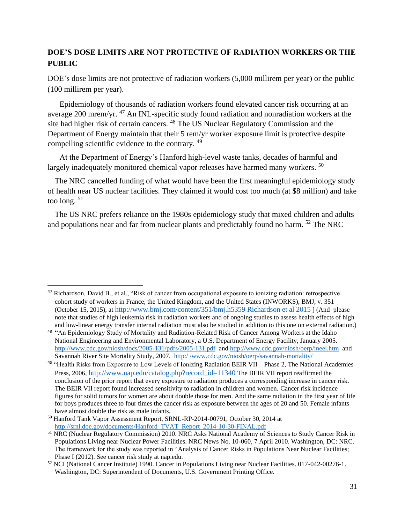# **DOE'S DOSE LIMITS ARE NOT PROTECTIVE OF RADIATION WORKERS OR THE PUBLIC**

DOE's dose limits are not protective of radiation workers (5,000 millirem per year) or the public (100 millirem per year).

Epidemiology of thousands of radiation workers found elevated cancer risk occurring at an average 200 mrem/yr. <sup>47</sup> An INL-specific study found radiation and nonradiation workers at the site had higher risk of certain cancers. <sup>48</sup> The US Nuclear Regulatory Commission and the Department of Energy maintain that their 5 rem/yr worker exposure limit is protective despite compelling scientific evidence to the contrary. <sup>49</sup>

At the Department of Energy's Hanford high-level waste tanks, decades of harmful and largely inadequately monitored chemical vapor releases have harmed many workers. <sup>50</sup>

The NRC cancelled funding of what would have been the first meaningful epidemiology study of health near US nuclear facilities. They claimed it would cost too much (at \$8 million) and take too long. <sup>51</sup>

The US NRC prefers reliance on the 1980s epidemiology study that mixed children and adults and populations near and far from nuclear plants and predictably found no harm. <sup>52</sup> The NRC

<sup>&</sup>lt;sup>47</sup> Richardson, David B., et al., "Risk of cancer from occupational exposure to ionizing radiation: retrospective cohort study of workers in France, the United Kingdom, and the United States (INWORKS), BMJ, v. 351 (October 15, 2015), at [http://www.bmj.com/content/351/bmj.h5359 Richardson et al 2015](http://www.bmj.com/content/351/bmj.h5359%20Richardson%20et%20al%202015) ] (And please note that studies of high leukemia risk in radiation workers and of ongoing studies to assess health effects of high and low-linear energy transfer internal radiation must also be studied in addition to this one on external radiation.)

<sup>&</sup>lt;sup>48</sup> "An Epidemiology Study of Mortality and Radiation-Related Risk of Cancer Among Workers at the Idaho National Engineering and Environmental Laboratory, a U.S. Department of Energy Facility, January 2005. <http://www.cdc.gov/niosh/docs/2005-131/pdfs/2005-131.pdf>and<http://www.cdc.gov/niosh/oerp/ineel.htm>and Savannah River Site Mortality Study, 2007. http:/ [/www.cdc.gov/niosh/oerp/savannah-mortality/](http://www.cdc.gov/niosh/oerp/savannah-mortality/)

<sup>&</sup>lt;sup>49</sup> "Health Risks from Exposure to Low Levels of Ionizing Radiation BEIR VII – Phase 2, The National Academies Press, 2006, [http://www.nap.edu/catalog.php?record\\_id=11340](http://www.nap.edu/catalog.php?record_id=11340) The BEIR VII report reaffirmed the conclusion of the prior report that every exposure to radiation produces a corresponding increase in cancer risk. The BEIR VII report found increased sensitivity to radiation in children and women. Cancer risk incidence figures for solid tumors for women are about double those for men. And the same radiation in the first year of life for boys produces three to four times the cancer risk as exposure between the ages of 20 and 50. Female infants have almost double the risk as male infants.

<sup>50</sup> Hanford Tank Vapor Assessment Report, SRNL-RP-2014-00791, October 30, 2014 at [http://srnl.doe.gov/documents/Hanford\\_TVAT\\_Report\\_2014-10-30-FINAL.pdf](http://srnl.doe.gov/documents/Hanford_TVAT_Report_2014-10-30-FINAL.pdf)

<sup>51</sup> NRC (Nuclear Regulatory Commission) 2010. NRC Asks National Academy of Sciences to Study Cancer Risk in Populations Living near Nuclear Power Facilities. NRC News No. 10-060, 7 April 2010. Washington, DC: NRC. The framework for the study was reported in "Analysis of Cancer Risks in Populations Near Nuclear Facilities; Phase I (2012). See cancer risk study at nap.edu.

<sup>52</sup> NCI (National Cancer Institute) 1990. Cancer in Populations Living near Nuclear Facilities. 017-042-00276-1. Washington, DC: Superintendent of Documents, U.S. Government Printing Office.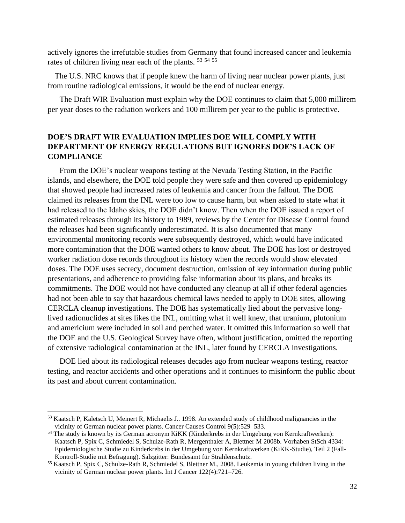actively ignores the irrefutable studies from Germany that found increased cancer and leukemia rates of children living near each of the plants.  $53\frac{54}{55}$ 

The U.S. NRC knows that if people knew the harm of living near nuclear power plants, just from routine radiological emissions, it would be the end of nuclear energy.

The Draft WIR Evaluation must explain why the DOE continues to claim that 5,000 millirem per year doses to the radiation workers and 100 millirem per year to the public is protective.

### **DOE'S DRAFT WIR EVALUATION IMPLIES DOE WILL COMPLY WITH DEPARTMENT OF ENERGY REGULATIONS BUT IGNORES DOE'S LACK OF COMPLIANCE**

From the DOE's nuclear weapons testing at the Nevada Testing Station, in the Pacific islands, and elsewhere, the DOE told people they were safe and then covered up epidemiology that showed people had increased rates of leukemia and cancer from the fallout. The DOE claimed its releases from the INL were too low to cause harm, but when asked to state what it had released to the Idaho skies, the DOE didn't know. Then when the DOE issued a report of estimated releases through its history to 1989, reviews by the Center for Disease Control found the releases had been significantly underestimated. It is also documented that many environmental monitoring records were subsequently destroyed, which would have indicated more contamination that the DOE wanted others to know about. The DOE has lost or destroyed worker radiation dose records throughout its history when the records would show elevated doses. The DOE uses secrecy, document destruction, omission of key information during public presentations, and adherence to providing false information about its plans, and breaks its commitments. The DOE would not have conducted any cleanup at all if other federal agencies had not been able to say that hazardous chemical laws needed to apply to DOE sites, allowing CERCLA cleanup investigations. The DOE has systematically lied about the pervasive longlived radionuclides at sites likes the INL, omitting what it well knew, that uranium, plutonium and americium were included in soil and perched water. It omitted this information so well that the DOE and the U.S. Geological Survey have often, without justification, omitted the reporting of extensive radiological contamination at the INL, later found by CERCLA investigations.

DOE lied about its radiological releases decades ago from nuclear weapons testing, reactor testing, and reactor accidents and other operations and it continues to misinform the public about its past and about current contamination.

<sup>53</sup> Kaatsch P, Kaletsch U, Meinert R, Michaelis J.. 1998. An extended study of childhood malignancies in the vicinity of German nuclear power plants. Cancer Causes Control 9(5):529–533.

<sup>54</sup> The study is known by its German acronym KiKK (Kinderkrebs in der Umgebung von Kernkraftwerken): Kaatsch P, Spix C, Schmiedel S, Schulze-Rath R, Mergenthaler A, Blettner M 2008b. Vorhaben StSch 4334: Epidemiologische Studie zu Kinderkrebs in der Umgebung von Kernkraftwerken (KiKK-Studie), Teil 2 (Fall-Kontroll-Studie mit Befragung). Salzgitter: Bundesamt für Strahlenschutz.

<sup>55</sup> Kaatsch P, Spix C, Schulze-Rath R, Schmiedel S, Blettner M., 2008. Leukemia in young children living in the vicinity of German nuclear power plants. Int J Cancer 122(4):721–726.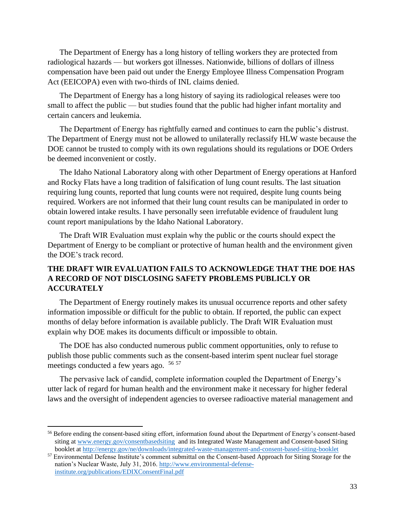The Department of Energy has a long history of telling workers they are protected from radiological hazards — but workers got illnesses. Nationwide, billions of dollars of illness compensation have been paid out under the Energy Employee Illness Compensation Program Act (EEICOPA) even with two-thirds of INL claims denied.

The Department of Energy has a long history of saying its radiological releases were too small to affect the public — but studies found that the public had higher infant mortality and certain cancers and leukemia.

The Department of Energy has rightfully earned and continues to earn the public's distrust. The Department of Energy must not be allowed to unilaterally reclassify HLW waste because the DOE cannot be trusted to comply with its own regulations should its regulations or DOE Orders be deemed inconvenient or costly.

The Idaho National Laboratory along with other Department of Energy operations at Hanford and Rocky Flats have a long tradition of falsification of lung count results. The last situation requiring lung counts, reported that lung counts were not required, despite lung counts being required. Workers are not informed that their lung count results can be manipulated in order to obtain lowered intake results. I have personally seen irrefutable evidence of fraudulent lung count report manipulations by the Idaho National Laboratory.

The Draft WIR Evaluation must explain why the public or the courts should expect the Department of Energy to be compliant or protective of human health and the environment given the DOE's track record.

# **THE DRAFT WIR EVALUATION FAILS TO ACKNOWLEDGE THAT THE DOE HAS A RECORD OF NOT DISCLOSING SAFETY PROBLEMS PUBLICLY OR ACCURATELY**

The Department of Energy routinely makes its unusual occurrence reports and other safety information impossible or difficult for the public to obtain. If reported, the public can expect months of delay before information is available publicly. The Draft WIR Evaluation must explain why DOE makes its documents difficult or impossible to obtain.

The DOE has also conducted numerous public comment opportunities, only to refuse to publish those public comments such as the consent-based interim spent nuclear fuel storage meetings conducted a few years ago. <sup>56 57</sup>

The pervasive lack of candid, complete information coupled the Department of Energy's utter lack of regard for human health and the environment make it necessary for higher federal laws and the oversight of independent agencies to oversee radioactive material management and

<sup>56</sup> Before ending the consent-based siting effort, information found about the Department of Energy's consent-based siting at [www.energy.gov/consentbasedsiting](http://www.energy.gov/consentbasedsiting) and its Integrated Waste Management and Consent-based Siting booklet at<http://energy.gov/ne/downloads/integrated-waste-management-and-consent-based-siting-booklet>

<sup>&</sup>lt;sup>57</sup> Environmental Defense Institute's comment submittal on the Consent-based Approach for Siting Storage for the nation's Nuclear Waste, July 31, 2016. [http://www.environmental-defense](http://www.environmental-defense-institute.org/publications/EDIXConsentFinal.pdf)[institute.org/publications/EDIXConsentFinal.pdf](http://www.environmental-defense-institute.org/publications/EDIXConsentFinal.pdf)